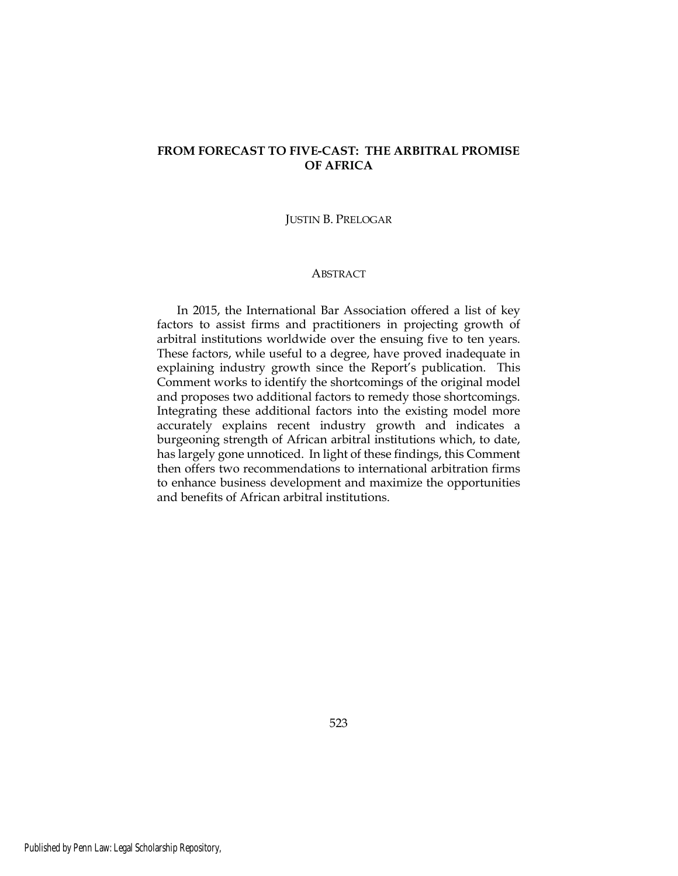# FROM FORECAST TO FIVE-CAST: THE ARBITRAL PROMISE OF AFRICA

#### JUSTIN B. PRELOGAR

## **ABSTRACT**

In 2015, the International Bar Association offered a list of key factors to assist firms and practitioners in projecting growth of arbitral institutions worldwide over the ensuing five to ten years. These factors, while useful to a degree, have proved inadequate in explaining industry growth since the Report's publication. This Comment works to identify the shortcomings of the original model and proposes two additional factors to remedy those shortcomings. Integrating these additional factors into the existing model more accurately explains recent industry growth and indicates a burgeoning strength of African arbitral institutions which, to date, has largely gone unnoticed. In light of these findings, this Comment then offers two recommendations to international arbitration firms to enhance business development and maximize the opportunities and benefits of African arbitral institutions.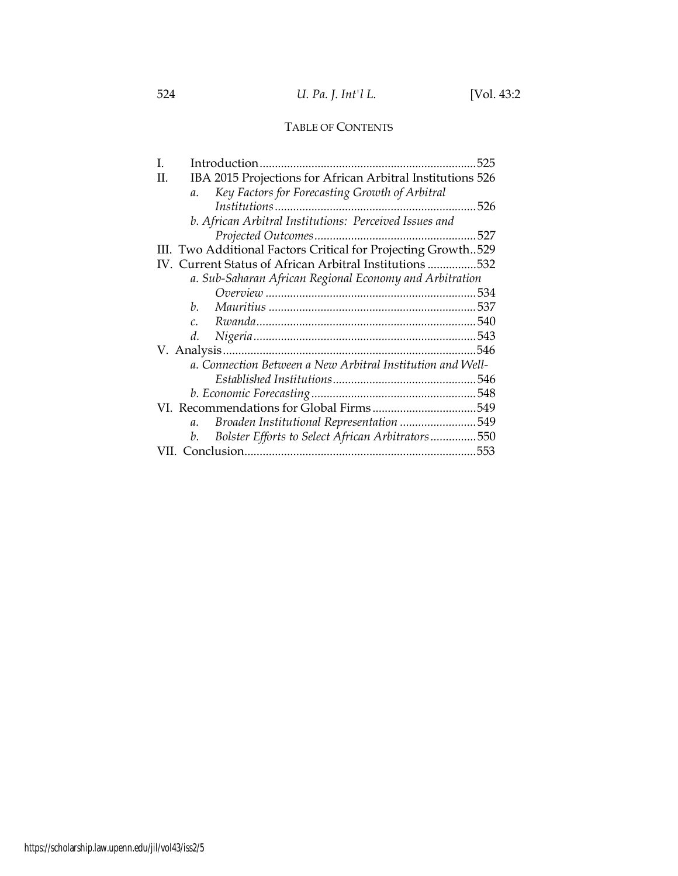# TABLE OF CONTENTS

| 525                                                              |
|------------------------------------------------------------------|
| IBA 2015 Projections for African Arbitral Institutions 526<br>H. |
| Key Factors for Forecasting Growth of Arbitral<br>$a_{\cdot}$    |
|                                                                  |
| b. African Arbitral Institutions: Perceived Issues and           |
| 527                                                              |
| III. Two Additional Factors Critical for Projecting Growth529    |
| IV. Current Status of African Arbitral Institutions532           |
| a. Sub-Saharan African Regional Economy and Arbitration          |
|                                                                  |
| h.                                                               |
| $\mathcal{C}$ .                                                  |
| d.                                                               |
|                                                                  |
| a. Connection Between a New Arbitral Institution and Well-       |
|                                                                  |
|                                                                  |
|                                                                  |
| Broaden Institutional Representation 549<br>$a_{\cdot}$          |
| Bolster Efforts to Select African Arbitrators550<br>b.           |
|                                                                  |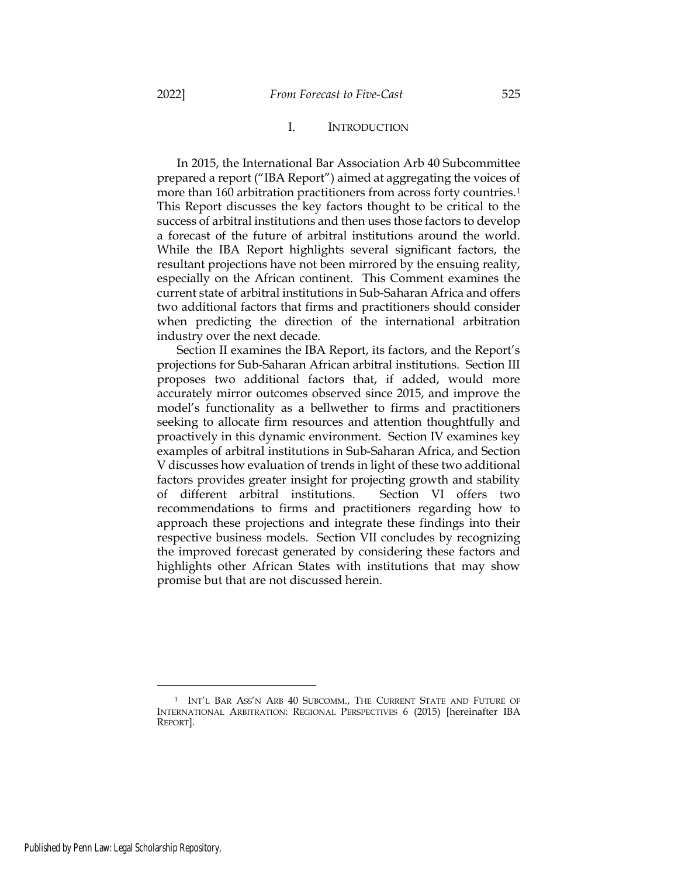### I. INTRODUCTION

In 2015, the International Bar Association Arb 40 Subcommittee prepared a report ("IBA Report") aimed at aggregating the voices of more than 160 arbitration practitioners from across forty countries.<sup>1</sup> This Report discusses the key factors thought to be critical to the success of arbitral institutions and then uses those factors to develop a forecast of the future of arbitral institutions around the world. While the IBA Report highlights several significant factors, the resultant projections have not been mirrored by the ensuing reality, especially on the African continent. This Comment examines the current state of arbitral institutions in Sub-Saharan Africa and offers two additional factors that firms and practitioners should consider when predicting the direction of the international arbitration industry over the next decade.

Section II examines the IBA Report, its factors, and the Report's projections for Sub-Saharan African arbitral institutions. Section III proposes two additional factors that, if added, would more accurately mirror outcomes observed since 2015, and improve the model's functionality as a bellwether to firms and practitioners seeking to allocate firm resources and attention thoughtfully and proactively in this dynamic environment. Section IV examines key examples of arbitral institutions in Sub-Saharan Africa, and Section V discusses how evaluation of trends in light of these two additional factors provides greater insight for projecting growth and stability of different arbitral institutions. Section VI offers two recommendations to firms and practitioners regarding how to approach these projections and integrate these findings into their respective business models. Section VII concludes by recognizing the improved forecast generated by considering these factors and highlights other African States with institutions that may show promise but that are not discussed herein.

<sup>1</sup> INT'L BAR ASS'N ARB 40 SUBCOMM., THE CURRENT STATE AND FUTURE OF INTERNATIONAL ARBITRATION: REGIONAL PERSPECTIVES 6 (2015) [hereinafter IBA REPORT].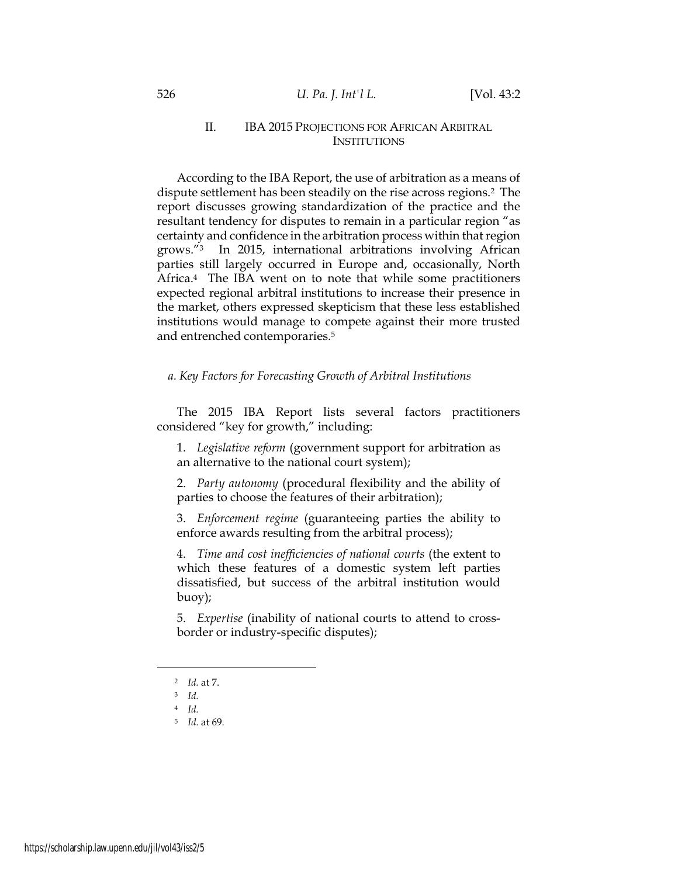## II. IBA 2015 PROJECTIONS FOR AFRICAN ARBITRAL **INSTITUTIONS**

According to the IBA Report, the use of arbitration as a means of dispute settlement has been steadily on the rise across regions.2 The report discusses growing standardization of the practice and the resultant tendency for disputes to remain in a particular region "as certainty and confidence in the arbitration process within that region grows."3 In 2015, international arbitrations involving African parties still largely occurred in Europe and, occasionally, North Africa.<sup>4</sup> The IBA went on to note that while some practitioners expected regional arbitral institutions to increase their presence in the market, others expressed skepticism that these less established institutions would manage to compete against their more trusted and entrenched contemporaries.<sup>5</sup>

### a. Key Factors for Forecasting Growth of Arbitral Institutions

The 2015 IBA Report lists several factors practitioners considered "key for growth," including:

1. Legislative reform (government support for arbitration as an alternative to the national court system);

2. Party autonomy (procedural flexibility and the ability of parties to choose the features of their arbitration);

3. Enforcement regime (guaranteeing parties the ability to enforce awards resulting from the arbitral process);

4. Time and cost inefficiencies of national courts (the extent to which these features of a domestic system left parties dissatisfied, but success of the arbitral institution would buoy);

5. Expertise (inability of national courts to attend to crossborder or industry-specific disputes);

<sup>2</sup> Id. at 7.

<sup>3</sup> Id.

<sup>4</sup> Id.

<sup>5</sup> Id. at 69.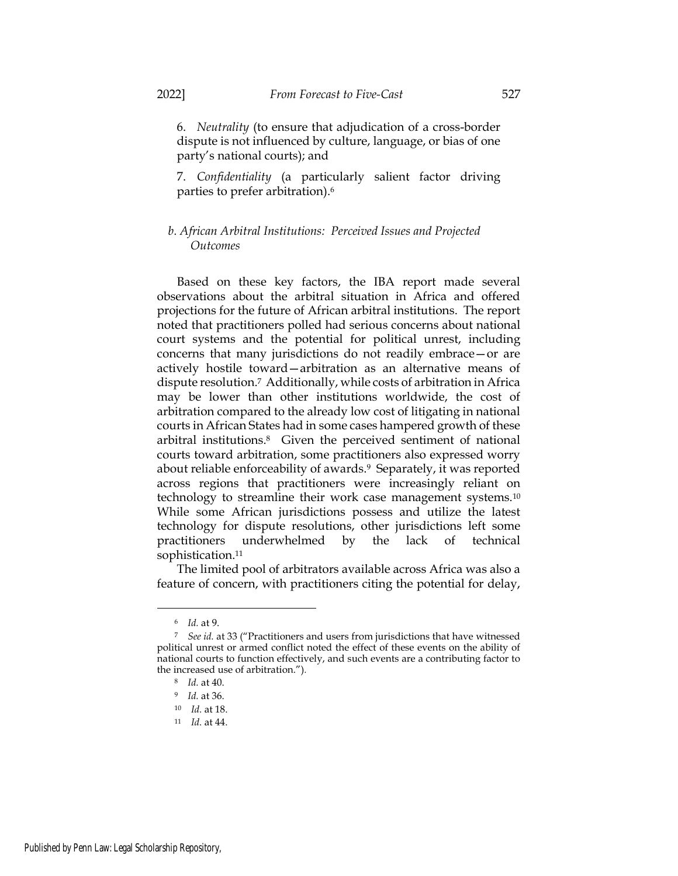6. Neutrality (to ensure that adjudication of a cross-border dispute is not influenced by culture, language, or bias of one party's national courts); and

7. Confidentiality (a particularly salient factor driving parties to prefer arbitration).<sup>6</sup>

## b. African Arbitral Institutions: Perceived Issues and Projected Outcomes

Based on these key factors, the IBA report made several observations about the arbitral situation in Africa and offered projections for the future of African arbitral institutions. The report noted that practitioners polled had serious concerns about national court systems and the potential for political unrest, including concerns that many jurisdictions do not readily embrace—or are actively hostile toward—arbitration as an alternative means of dispute resolution.7 Additionally, while costs of arbitration in Africa may be lower than other institutions worldwide, the cost of arbitration compared to the already low cost of litigating in national courts in African States had in some cases hampered growth of these arbitral institutions.8 Given the perceived sentiment of national courts toward arbitration, some practitioners also expressed worry about reliable enforceability of awards.<sup>9</sup> Separately, it was reported across regions that practitioners were increasingly reliant on technology to streamline their work case management systems.<sup>10</sup> While some African jurisdictions possess and utilize the latest technology for dispute resolutions, other jurisdictions left some practitioners underwhelmed by the lack of technical sophistication.<sup>11</sup>

The limited pool of arbitrators available across Africa was also a feature of concern, with practitioners citing the potential for delay,

<sup>6</sup> Id. at 9.

<sup>7</sup> See id. at 33 ("Practitioners and users from jurisdictions that have witnessed political unrest or armed conflict noted the effect of these events on the ability of national courts to function effectively, and such events are a contributing factor to the increased use of arbitration.").

<sup>8</sup> Id. at 40.

<sup>9</sup> Id. at 36.

<sup>10</sup> Id. at 18.

<sup>11</sup> Id. at 44.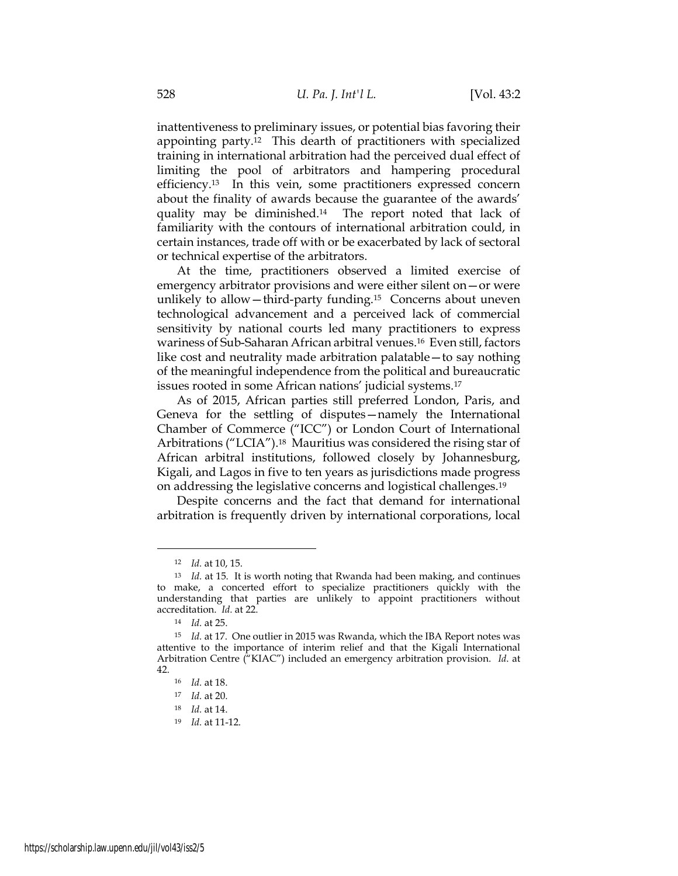inattentiveness to preliminary issues, or potential bias favoring their appointing party.12 This dearth of practitioners with specialized training in international arbitration had the perceived dual effect of limiting the pool of arbitrators and hampering procedural efficiency.13 In this vein, some practitioners expressed concern about the finality of awards because the guarantee of the awards' quality may be diminished.14 The report noted that lack of familiarity with the contours of international arbitration could, in certain instances, trade off with or be exacerbated by lack of sectoral or technical expertise of the arbitrators.

At the time, practitioners observed a limited exercise of emergency arbitrator provisions and were either silent on—or were unlikely to allow—third-party funding.15 Concerns about uneven technological advancement and a perceived lack of commercial sensitivity by national courts led many practitioners to express wariness of Sub-Saharan African arbitral venues.16 Even still, factors like cost and neutrality made arbitration palatable—to say nothing of the meaningful independence from the political and bureaucratic issues rooted in some African nations' judicial systems.<sup>17</sup>

As of 2015, African parties still preferred London, Paris, and Geneva for the settling of disputes—namely the International Chamber of Commerce ("ICC") or London Court of International Arbitrations ("LCIA").18 Mauritius was considered the rising star of African arbitral institutions, followed closely by Johannesburg, Kigali, and Lagos in five to ten years as jurisdictions made progress on addressing the legislative concerns and logistical challenges.<sup>19</sup>

Despite concerns and the fact that demand for international arbitration is frequently driven by international corporations, local

<sup>12</sup> Id. at 10, 15.

<sup>&</sup>lt;sup>13</sup> Id. at 15. It is worth noting that Rwanda had been making, and continues to make, a concerted effort to specialize practitioners quickly with the understanding that parties are unlikely to appoint practitioners without accreditation. Id. at 22.

<sup>14</sup> Id. at 25.

<sup>15</sup> Id. at 17. One outlier in 2015 was Rwanda, which the IBA Report notes was attentive to the importance of interim relief and that the Kigali International Arbitration Centre ("KIAC") included an emergency arbitration provision. Id. at 42.

<sup>16</sup> Id. at 18.

<sup>17</sup> Id. at 20.

<sup>18</sup> Id. at 14.

<sup>19</sup> Id. at 11-12.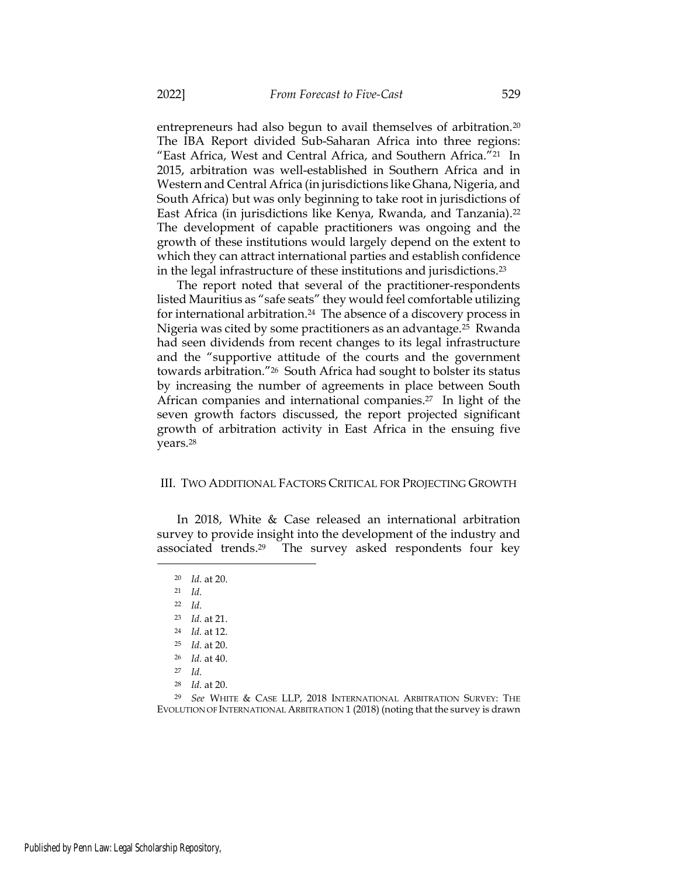entrepreneurs had also begun to avail themselves of arbitration.<sup>20</sup> The IBA Report divided Sub-Saharan Africa into three regions: "East Africa, West and Central Africa, and Southern Africa."21 In 2015, arbitration was well-established in Southern Africa and in Western and Central Africa (in jurisdictions like Ghana, Nigeria, and South Africa) but was only beginning to take root in jurisdictions of East Africa (in jurisdictions like Kenya, Rwanda, and Tanzania).<sup>22</sup> The development of capable practitioners was ongoing and the growth of these institutions would largely depend on the extent to which they can attract international parties and establish confidence in the legal infrastructure of these institutions and jurisdictions.<sup>23</sup>

The report noted that several of the practitioner-respondents listed Mauritius as "safe seats" they would feel comfortable utilizing for international arbitration.24 The absence of a discovery process in Nigeria was cited by some practitioners as an advantage.25 Rwanda had seen dividends from recent changes to its legal infrastructure and the "supportive attitude of the courts and the government towards arbitration."26 South Africa had sought to bolster its status by increasing the number of agreements in place between South African companies and international companies.27 In light of the seven growth factors discussed, the report projected significant growth of arbitration activity in East Africa in the ensuing five years.<sup>28</sup>

### III. TWO ADDITIONAL FACTORS CRITICAL FOR PROJECTING GROWTH

In 2018, White & Case released an international arbitration survey to provide insight into the development of the industry and associated trends.29 The survey asked respondents four key

- $22$  *Id.*
- <sup>23</sup> Id. at 21.
- <sup>24</sup> Id. at 12.
- $25$  *Id.* at 20.
- <sup>26</sup> Id. at 40.
- $27$  *Id.*
- <sup>28</sup> Id. at 20.

<sup>29</sup> See WHITE & CASE LLP, 2018 INTERNATIONAL ARBITRATION SURVEY: THE EVOLUTION OF INTERNATIONAL ARBITRATION 1 (2018) (noting that the survey is drawn

<sup>20</sup> Id. at 20.

<sup>21</sup> Id.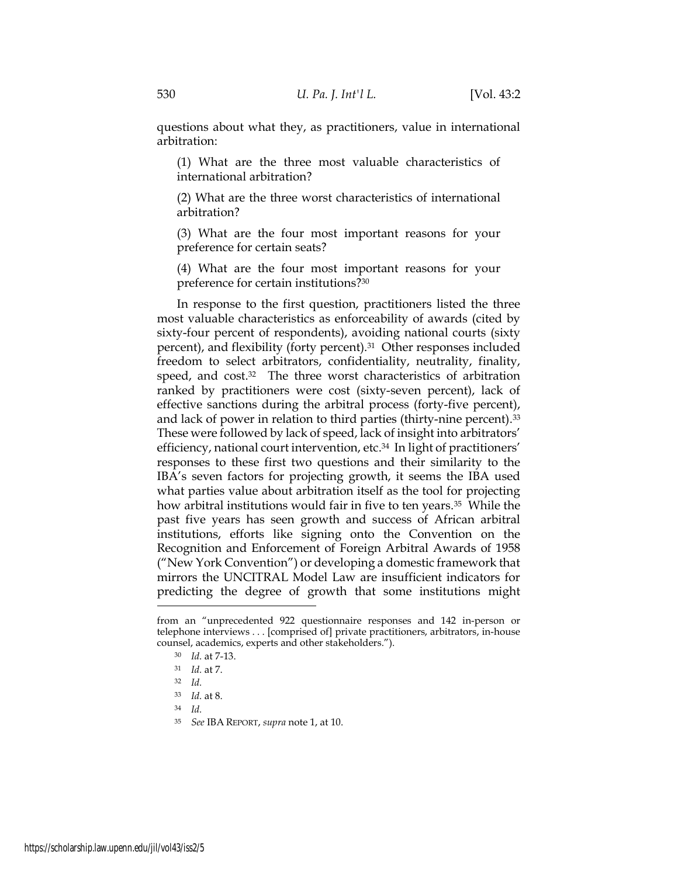questions about what they, as practitioners, value in international arbitration:

(1) What are the three most valuable characteristics of international arbitration?

(2) What are the three worst characteristics of international arbitration?

(3) What are the four most important reasons for your preference for certain seats?

(4) What are the four most important reasons for your preference for certain institutions?<sup>30</sup>

In response to the first question, practitioners listed the three most valuable characteristics as enforceability of awards (cited by sixty-four percent of respondents), avoiding national courts (sixty percent), and flexibility (forty percent).31 Other responses included freedom to select arbitrators, confidentiality, neutrality, finality, speed, and cost.<sup>32</sup> The three worst characteristics of arbitration ranked by practitioners were cost (sixty-seven percent), lack of effective sanctions during the arbitral process (forty-five percent), and lack of power in relation to third parties (thirty-nine percent).<sup>33</sup> These were followed by lack of speed, lack of insight into arbitrators' efficiency, national court intervention, etc.34 In light of practitioners' responses to these first two questions and their similarity to the IBA's seven factors for projecting growth, it seems the IBA used what parties value about arbitration itself as the tool for projecting how arbitral institutions would fair in five to ten years.<sup>35</sup> While the past five years has seen growth and success of African arbitral institutions, efforts like signing onto the Convention on the Recognition and Enforcement of Foreign Arbitral Awards of 1958 ("New York Convention") or developing a domestic framework that mirrors the UNCITRAL Model Law are insufficient indicators for predicting the degree of growth that some institutions might

<sup>34</sup> Id.

from an "unprecedented 922 questionnaire responses and 142 in-person or telephone interviews . . . [comprised of] private practitioners, arbitrators, in-house counsel, academics, experts and other stakeholders.").

<sup>30</sup> Id. at 7-13.

<sup>31</sup> Id. at 7.

<sup>32</sup> Id.

<sup>33</sup> Id. at 8.

<sup>35</sup> See IBA REPORT, supra note 1, at 10.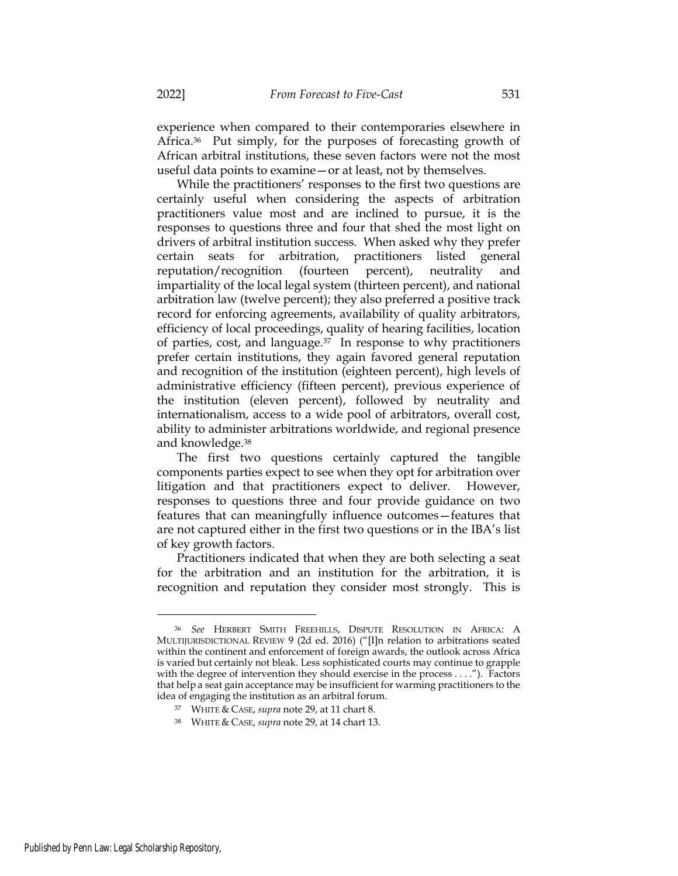experience when compared to their contemporaries elsewhere in Africa.<sup>36</sup> Put simply, for the purposes of forecasting growth of African arbitral institutions, these seven factors were not the most useful data points to examine—or at least, not by themselves.

While the practitioners' responses to the first two questions are certainly useful when considering the aspects of arbitration practitioners value most and are inclined to pursue, it is the responses to questions three and four that shed the most light on drivers of arbitral institution success. When asked why they prefer certain seats for arbitration, practitioners listed general reputation/recognition (fourteen percent), neutrality and impartiality of the local legal system (thirteen percent), and national arbitration law (twelve percent); they also preferred a positive track record for enforcing agreements, availability of quality arbitrators, efficiency of local proceedings, quality of hearing facilities, location of parties, cost, and language.37 In response to why practitioners prefer certain institutions, they again favored general reputation and recognition of the institution (eighteen percent), high levels of administrative efficiency (fifteen percent), previous experience of the institution (eleven percent), followed by neutrality and internationalism, access to a wide pool of arbitrators, overall cost, ability to administer arbitrations worldwide, and regional presence and knowledge.<sup>38</sup>

The first two questions certainly captured the tangible components parties expect to see when they opt for arbitration over litigation and that practitioners expect to deliver. However, responses to questions three and four provide guidance on two features that can meaningfully influence outcomes—features that are not captured either in the first two questions or in the IBA's list of key growth factors.

Practitioners indicated that when they are both selecting a seat for the arbitration and an institution for the arbitration, it is recognition and reputation they consider most strongly. This is

<sup>36</sup> See HERBERT SMITH FREEHILLS, DISPUTE RESOLUTION IN AFRICA: A MULTIJURISDICTIONAL REVIEW 9 (2d ed. 2016) ("[I]n relation to arbitrations seated within the continent and enforcement of foreign awards, the outlook across Africa is varied but certainly not bleak. Less sophisticated courts may continue to grapple with the degree of intervention they should exercise in the process . . . ."). Factors that help a seat gain acceptance may be insufficient for warming practitioners to the idea of engaging the institution as an arbitral forum.

<sup>37</sup> WHITE & CASE, supra note 29, at 11 chart 8.

<sup>38</sup> WHITE & CASE, supra note 29, at 14 chart 13.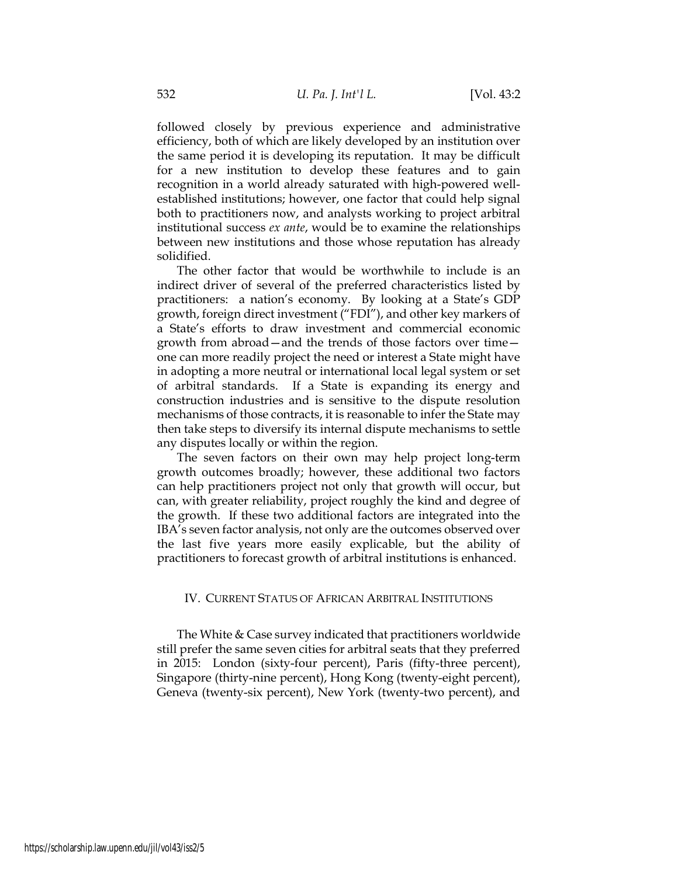followed closely by previous experience and administrative efficiency, both of which are likely developed by an institution over the same period it is developing its reputation. It may be difficult for a new institution to develop these features and to gain recognition in a world already saturated with high-powered wellestablished institutions; however, one factor that could help signal both to practitioners now, and analysts working to project arbitral institutional success ex ante, would be to examine the relationships between new institutions and those whose reputation has already solidified.

The other factor that would be worthwhile to include is an indirect driver of several of the preferred characteristics listed by practitioners: a nation's economy. By looking at a State's GDP growth, foreign direct investment ("FDI"), and other key markers of a State's efforts to draw investment and commercial economic growth from abroad—and the trends of those factors over time one can more readily project the need or interest a State might have in adopting a more neutral or international local legal system or set of arbitral standards. If a State is expanding its energy and construction industries and is sensitive to the dispute resolution mechanisms of those contracts, it is reasonable to infer the State may then take steps to diversify its internal dispute mechanisms to settle any disputes locally or within the region.

The seven factors on their own may help project long-term growth outcomes broadly; however, these additional two factors can help practitioners project not only that growth will occur, but can, with greater reliability, project roughly the kind and degree of the growth. If these two additional factors are integrated into the IBA's seven factor analysis, not only are the outcomes observed over the last five years more easily explicable, but the ability of practitioners to forecast growth of arbitral institutions is enhanced.

#### IV. CURRENT STATUS OF AFRICAN ARBITRAL INSTITUTIONS

The White & Case survey indicated that practitioners worldwide still prefer the same seven cities for arbitral seats that they preferred in 2015: London (sixty-four percent), Paris (fifty-three percent), Singapore (thirty-nine percent), Hong Kong (twenty-eight percent), Geneva (twenty-six percent), New York (twenty-two percent), and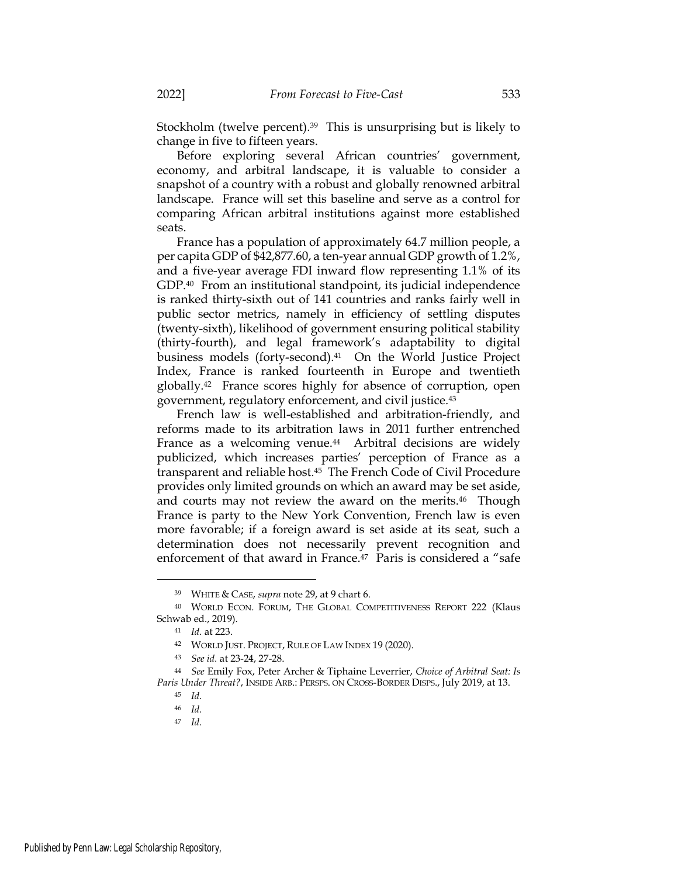Stockholm (twelve percent).39 This is unsurprising but is likely to change in five to fifteen years.

Before exploring several African countries' government, economy, and arbitral landscape, it is valuable to consider a snapshot of a country with a robust and globally renowned arbitral landscape. France will set this baseline and serve as a control for comparing African arbitral institutions against more established seats.

France has a population of approximately 64.7 million people, a per capita GDP of \$42,877.60, a ten-year annual GDP growth of 1.2%, and a five-year average FDI inward flow representing 1.1% of its GDP.40 From an institutional standpoint, its judicial independence is ranked thirty-sixth out of 141 countries and ranks fairly well in public sector metrics, namely in efficiency of settling disputes (twenty-sixth), likelihood of government ensuring political stability (thirty-fourth), and legal framework's adaptability to digital business models (forty-second).41 On the World Justice Project Index, France is ranked fourteenth in Europe and twentieth globally.42 France scores highly for absence of corruption, open government, regulatory enforcement, and civil justice.<sup>43</sup>

French law is well-established and arbitration-friendly, and reforms made to its arbitration laws in 2011 further entrenched France as a welcoming venue.<sup>44</sup> Arbitral decisions are widely publicized, which increases parties' perception of France as a transparent and reliable host.45 The French Code of Civil Procedure provides only limited grounds on which an award may be set aside, and courts may not review the award on the merits.46 Though France is party to the New York Convention, French law is even more favorable; if a foreign award is set aside at its seat, such a determination does not necessarily prevent recognition and enforcement of that award in France.47 Paris is considered a "safe

<sup>39</sup> WHITE & CASE, supra note 29, at 9 chart 6.

<sup>40</sup> WORLD ECON. FORUM, THE GLOBAL COMPETITIVENESS REPORT 222 (Klaus Schwab ed., 2019).

<sup>41</sup> Id. at 223.

<sup>42</sup> WORLD JUST. PROJECT, RULE OF LAW INDEX 19 (2020).

<sup>43</sup> See id. at 23-24, 27-28.

<sup>44</sup> See Emily Fox, Peter Archer & Tiphaine Leverrier, Choice of Arbitral Seat: Is Paris Under Threat?, INSIDE ARB.: PERSPS. ON CROSS-BORDER DISPS., July 2019, at 13.

<sup>45</sup> Id.

<sup>46</sup> Id.

<sup>47</sup> Id.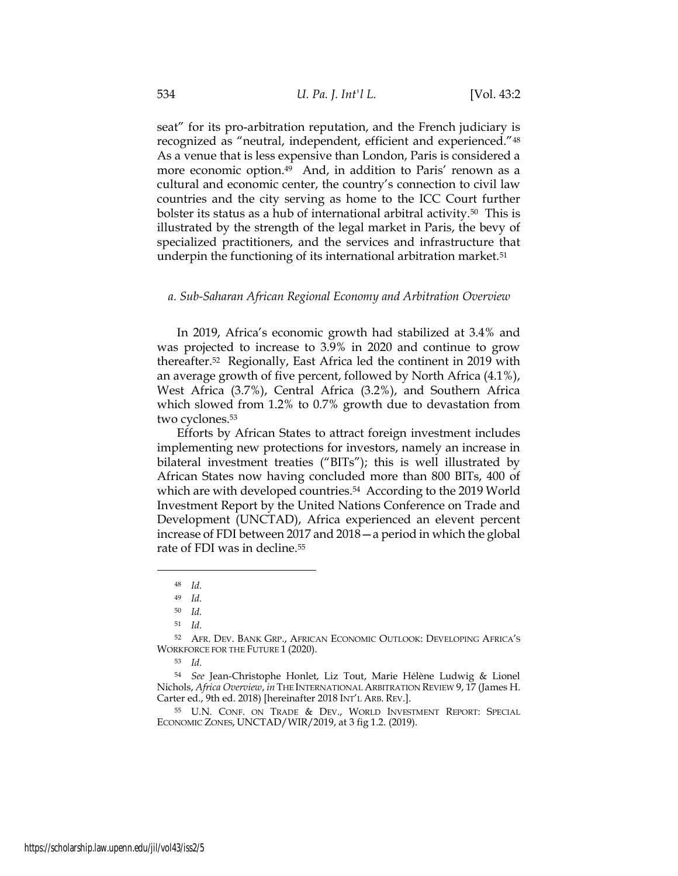seat" for its pro-arbitration reputation, and the French judiciary is recognized as "neutral, independent, efficient and experienced."<sup>48</sup> As a venue that is less expensive than London, Paris is considered a more economic option.<sup>49</sup> And, in addition to Paris' renown as a cultural and economic center, the country's connection to civil law countries and the city serving as home to the ICC Court further bolster its status as a hub of international arbitral activity.50 This is illustrated by the strength of the legal market in Paris, the bevy of specialized practitioners, and the services and infrastructure that underpin the functioning of its international arbitration market.<sup>51</sup>

#### a. Sub-Saharan African Regional Economy and Arbitration Overview

In 2019, Africa's economic growth had stabilized at 3.4% and was projected to increase to 3.9% in 2020 and continue to grow thereafter.52 Regionally, East Africa led the continent in 2019 with an average growth of five percent, followed by North Africa (4.1%), West Africa (3.7%), Central Africa (3.2%), and Southern Africa which slowed from 1.2% to 0.7% growth due to devastation from two cyclones.<sup>53</sup>

Efforts by African States to attract foreign investment includes implementing new protections for investors, namely an increase in bilateral investment treaties ("BITs"); this is well illustrated by African States now having concluded more than 800 BITs, 400 of which are with developed countries.<sup>54</sup> According to the 2019 World Investment Report by the United Nations Conference on Trade and Development (UNCTAD), Africa experienced an elevent percent increase of FDI between 2017 and 2018—a period in which the global rate of FDI was in decline.<sup>55</sup>

<sup>55</sup> U.N. CONF. ON TRADE & DEV., WORLD INVESTMENT REPORT: SPECIAL ECONOMIC ZONES, UNCTAD/WIR/2019, at 3 fig 1.2. (2019).

<sup>48</sup> Id.

<sup>49</sup> Id.

<sup>50</sup> Id.

<sup>51</sup> Id.

<sup>52</sup> AFR. DEV. BANK GRP., AFRICAN ECONOMIC OUTLOOK: DEVELOPING AFRICA'S WORKFORCE FOR THE FUTURE 1 (2020).

<sup>53</sup> Id.

<sup>54</sup> See Jean-Christophe Honlet, Liz Tout, Marie Hélène Ludwig & Lionel Nichols, Africa Overview, in THE INTERNATIONAL ARBITRATION REVIEW 9, 17 (James H. Carter ed., 9th ed. 2018) [hereinafter 2018 INT'L ARB. REV.].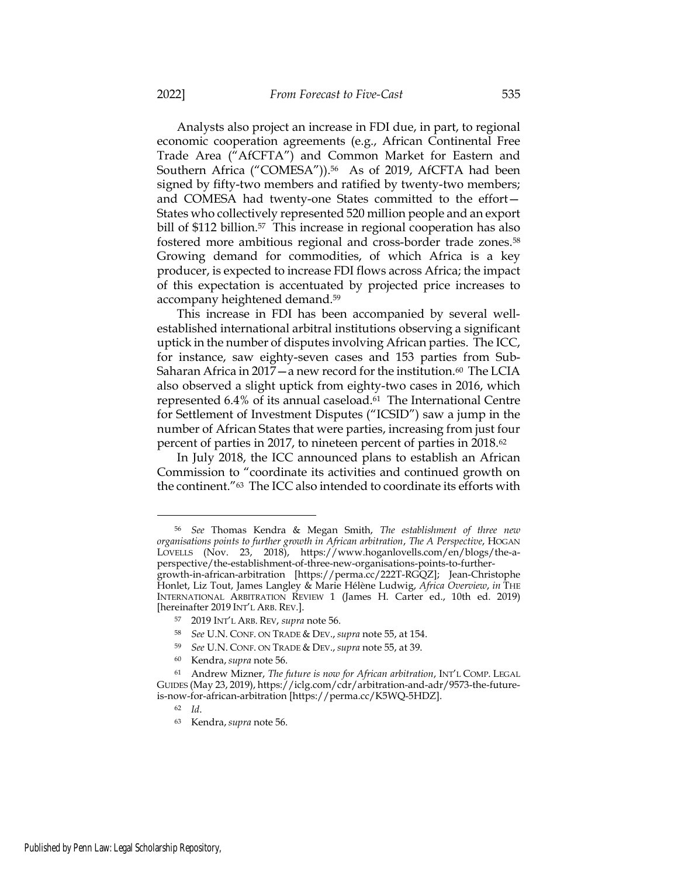Analysts also project an increase in FDI due, in part, to regional economic cooperation agreements (e.g., African Continental Free Trade Area ("AfCFTA") and Common Market for Eastern and Southern Africa ("COMESA")).<sup>56</sup> As of 2019, AfCFTA had been signed by fifty-two members and ratified by twenty-two members; and COMESA had twenty-one States committed to the effort— States who collectively represented 520 million people and an export bill of \$112 billion.<sup>57</sup> This increase in regional cooperation has also fostered more ambitious regional and cross-border trade zones.<sup>58</sup> Growing demand for commodities, of which Africa is a key producer, is expected to increase FDI flows across Africa; the impact of this expectation is accentuated by projected price increases to accompany heightened demand.<sup>59</sup>

This increase in FDI has been accompanied by several wellestablished international arbitral institutions observing a significant uptick in the number of disputes involving African parties. The ICC, for instance, saw eighty-seven cases and 153 parties from Sub-Saharan Africa in 2017—a new record for the institution.<sup>60</sup> The LCIA also observed a slight uptick from eighty-two cases in 2016, which represented 6.4% of its annual caseload.61 The International Centre for Settlement of Investment Disputes ("ICSID") saw a jump in the number of African States that were parties, increasing from just four percent of parties in 2017, to nineteen percent of parties in 2018.<sup>62</sup>

In July 2018, the ICC announced plans to establish an African Commission to "coordinate its activities and continued growth on the continent."63 The ICC also intended to coordinate its efforts with

<sup>56</sup> See Thomas Kendra & Megan Smith, The establishment of three new organisations points to further growth in African arbitration, The A Perspective, HOGAN LOVELLS (Nov. 23, 2018), https://www.hoganlovells.com/en/blogs/the-aperspective/the-establishment-of-three-new-organisations-points-to-furthergrowth-in-african-arbitration [https://perma.cc/222T-RGQZ]; Jean-Christophe

Honlet, Liz Tout, James Langley & Marie Hélène Ludwig, Africa Overview, in THE INTERNATIONAL ARBITRATION REVIEW 1 (James H. Carter ed., 10th ed. 2019) [hereinafter 2019 INT'L ARB. REV.].

<sup>57</sup> 2019 INT'L ARB. REV, supra note 56.

<sup>58</sup> See U.N. CONF. ON TRADE & DEV., supra note 55, at 154.

<sup>59</sup> See U.N. CONF. ON TRADE & DEV., supra note 55, at 39.

<sup>60</sup> Kendra,supra note 56.

<sup>61</sup> Andrew Mizner, The future is now for African arbitration, INT'L COMP. LEGAL GUIDES (May 23, 2019), https://iclg.com/cdr/arbitration-and-adr/9573-the-futureis-now-for-african-arbitration [https://perma.cc/K5WQ-5HDZ].

<sup>62</sup> Id.

<sup>63</sup> Kendra, supra note 56.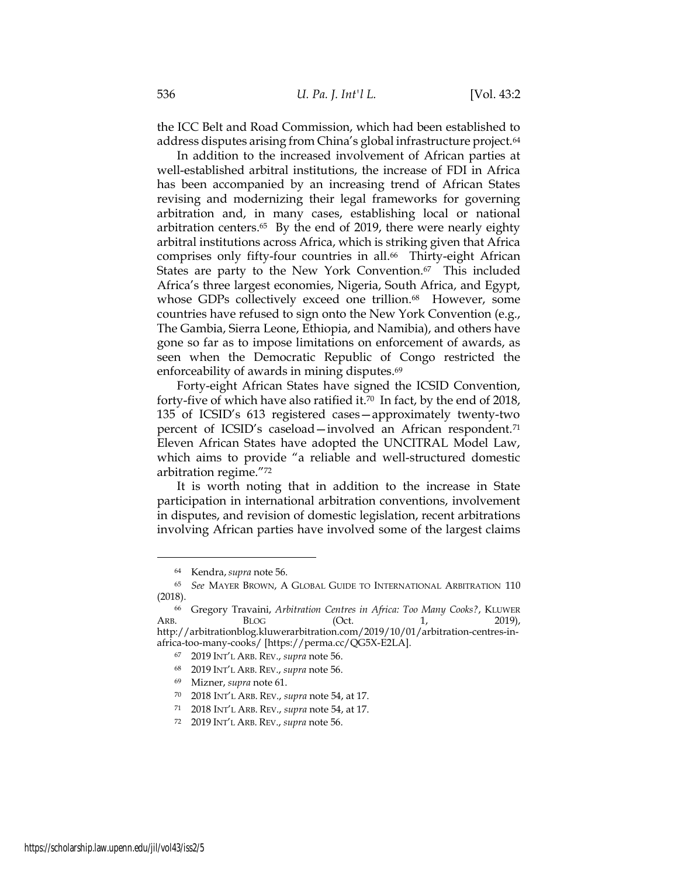the ICC Belt and Road Commission, which had been established to address disputes arising from China's global infrastructure project.<sup>64</sup>

In addition to the increased involvement of African parties at well-established arbitral institutions, the increase of FDI in Africa has been accompanied by an increasing trend of African States revising and modernizing their legal frameworks for governing arbitration and, in many cases, establishing local or national arbitration centers.65 By the end of 2019, there were nearly eighty arbitral institutions across Africa, which is striking given that Africa comprises only fifty-four countries in all.<sup>66</sup> Thirty-eight African States are party to the New York Convention.<sup>67</sup> This included Africa's three largest economies, Nigeria, South Africa, and Egypt, whose GDPs collectively exceed one trillion.<sup>68</sup> However, some countries have refused to sign onto the New York Convention (e.g., The Gambia, Sierra Leone, Ethiopia, and Namibia), and others have gone so far as to impose limitations on enforcement of awards, as seen when the Democratic Republic of Congo restricted the enforceability of awards in mining disputes.<sup>69</sup>

Forty-eight African States have signed the ICSID Convention, forty-five of which have also ratified it.<sup>70</sup> In fact, by the end of 2018, 135 of ICSID's 613 registered cases—approximately twenty-two percent of ICSID's caseload—involved an African respondent.<sup>71</sup> Eleven African States have adopted the UNCITRAL Model Law, which aims to provide "a reliable and well-structured domestic arbitration regime."<sup>72</sup>

It is worth noting that in addition to the increase in State participation in international arbitration conventions, involvement in disputes, and revision of domestic legislation, recent arbitrations involving African parties have involved some of the largest claims

<sup>64</sup> Kendra,supra note 56.

<sup>65</sup> See MAYER BROWN, A GLOBAL GUIDE TO INTERNATIONAL ARBITRATION 110 (2018).

<sup>66</sup> Gregory Travaini, Arbitration Centres in Africa: Too Many Cooks?, KLUWER ARB. BLOG (Oct. 1, 2019), http://arbitrationblog.kluwerarbitration.com/2019/10/01/arbitration-centres-inafrica-too-many-cooks/ [https://perma.cc/QG5X-E2LA].

<sup>67</sup> 2019 INT'L ARB. REV., supra note 56.

<sup>68</sup> 2019 INT'L ARB. REV., supra note 56.

<sup>69</sup> Mizner, supra note 61.

<sup>70</sup> 2018 INT'L ARB. REV., supra note 54, at 17.

<sup>71</sup> 2018 INT'L ARB. REV., supra note 54, at 17.

<sup>72</sup> 2019 INT'L ARB. REV., supra note 56.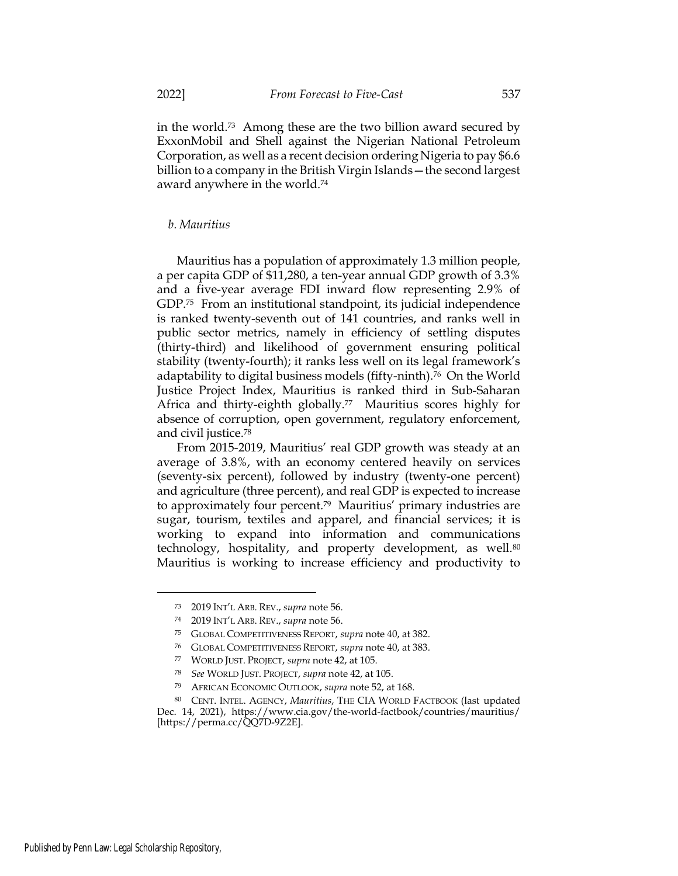in the world.73 Among these are the two billion award secured by ExxonMobil and Shell against the Nigerian National Petroleum Corporation, as well as a recent decision ordering Nigeria to pay \$6.6 billion to a company in the British Virgin Islands—the second largest award anywhere in the world.<sup>74</sup>

### b. Mauritius

Mauritius has a population of approximately 1.3 million people, a per capita GDP of \$11,280, a ten-year annual GDP growth of 3.3% and a five-year average FDI inward flow representing 2.9% of GDP.75 From an institutional standpoint, its judicial independence is ranked twenty-seventh out of 141 countries, and ranks well in public sector metrics, namely in efficiency of settling disputes (thirty-third) and likelihood of government ensuring political stability (twenty-fourth); it ranks less well on its legal framework's adaptability to digital business models (fifty-ninth).<sup>76</sup> On the World Justice Project Index, Mauritius is ranked third in Sub-Saharan Africa and thirty-eighth globally.<sup>77</sup> Mauritius scores highly for absence of corruption, open government, regulatory enforcement, and civil justice.<sup>78</sup>

From 2015-2019, Mauritius' real GDP growth was steady at an average of 3.8%, with an economy centered heavily on services (seventy-six percent), followed by industry (twenty-one percent) and agriculture (three percent), and real GDP is expected to increase to approximately four percent.79 Mauritius' primary industries are sugar, tourism, textiles and apparel, and financial services; it is working to expand into information and communications technology, hospitality, and property development, as well.<sup>80</sup> Mauritius is working to increase efficiency and productivity to

<sup>73</sup> 2019 INT'L ARB. REV., supra note 56.

<sup>74</sup> 2019 INT'L ARB. REV., supra note 56.

<sup>75</sup> GLOBAL COMPETITIVENESS REPORT, supra note 40, at 382.

<sup>76</sup> GLOBAL COMPETITIVENESS REPORT, supra note 40, at 383.

<sup>77</sup> WORLD JUST. PROJECT, supra note 42, at 105.

<sup>78</sup> See WORLD JUST. PROJECT, supra note 42, at 105.

<sup>79</sup> AFRICAN ECONOMIC OUTLOOK, supra note 52, at 168.

<sup>80</sup> CENT. INTEL. AGENCY, Mauritius, THE CIA WORLD FACTBOOK (last updated Dec. 14, 2021), https://www.cia.gov/the-world-factbook/countries/mauritius/ [https://perma.cc/QQ7D-9Z2E].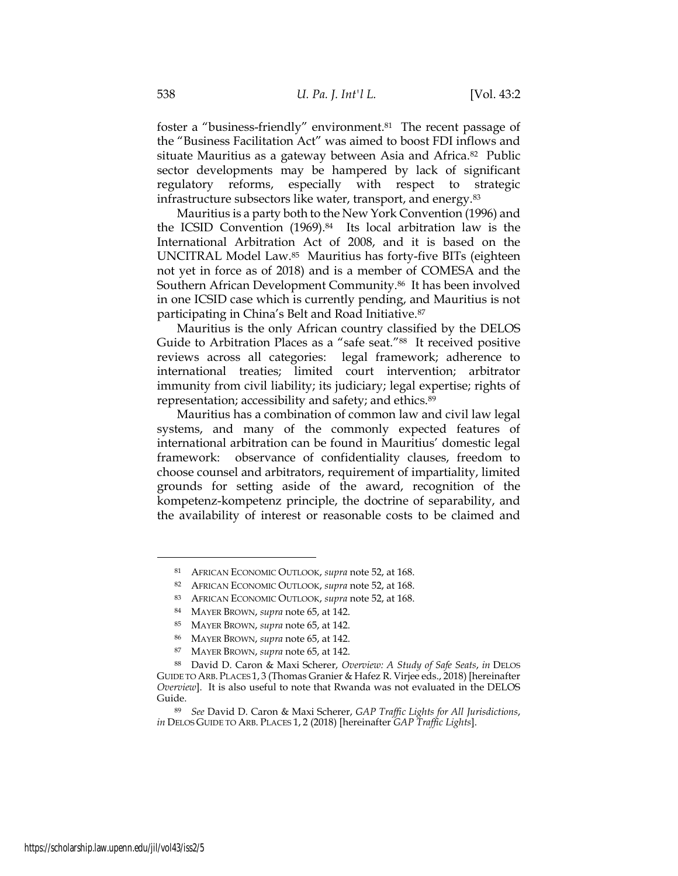foster a "business-friendly" environment.81 The recent passage of the "Business Facilitation Act" was aimed to boost FDI inflows and situate Mauritius as a gateway between Asia and Africa.<sup>82</sup> Public sector developments may be hampered by lack of significant regulatory reforms, especially with respect to strategic infrastructure subsectors like water, transport, and energy.<sup>83</sup>

Mauritius is a party both to the New York Convention (1996) and the ICSID Convention (1969).84 Its local arbitration law is the International Arbitration Act of 2008, and it is based on the UNCITRAL Model Law.85 Mauritius has forty-five BITs (eighteen not yet in force as of 2018) and is a member of COMESA and the Southern African Development Community.86 It has been involved in one ICSID case which is currently pending, and Mauritius is not participating in China's Belt and Road Initiative.<sup>87</sup>

Mauritius is the only African country classified by the DELOS Guide to Arbitration Places as a "safe seat."88 It received positive reviews across all categories: legal framework; adherence to international treaties; limited court intervention; arbitrator immunity from civil liability; its judiciary; legal expertise; rights of representation; accessibility and safety; and ethics.<sup>89</sup>

Mauritius has a combination of common law and civil law legal systems, and many of the commonly expected features of international arbitration can be found in Mauritius' domestic legal framework: observance of confidentiality clauses, freedom to choose counsel and arbitrators, requirement of impartiality, limited grounds for setting aside of the award, recognition of the kompetenz-kompetenz principle, the doctrine of separability, and the availability of interest or reasonable costs to be claimed and

<sup>81</sup> AFRICAN ECONOMIC OUTLOOK, supra note 52, at 168.

<sup>82</sup> AFRICAN ECONOMIC OUTLOOK, *supra* note 52, at 168.

<sup>83</sup> AFRICAN ECONOMIC OUTLOOK, supra note 52, at 168.

<sup>84</sup> MAYER BROWN, supra note 65, at 142.

<sup>85</sup> MAYER BROWN, supra note 65, at 142.

<sup>86</sup> MAYER BROWN, supra note 65, at 142.

<sup>87</sup> MAYER BROWN, supra note 65, at 142.

<sup>88</sup> David D. Caron & Maxi Scherer, Overview: A Study of Safe Seats, in DELOS GUIDE TO ARB. PLACES 1, 3 (Thomas Granier & Hafez R. Virjee eds., 2018) [hereinafter Overview]. It is also useful to note that Rwanda was not evaluated in the DELOS Guide.

<sup>89</sup> See David D. Caron & Maxi Scherer, GAP Traffic Lights for All Jurisdictions, in DELOS GUIDE TO ARB. PLACES 1, 2 (2018) [hereinafter GAP Traffic Lights].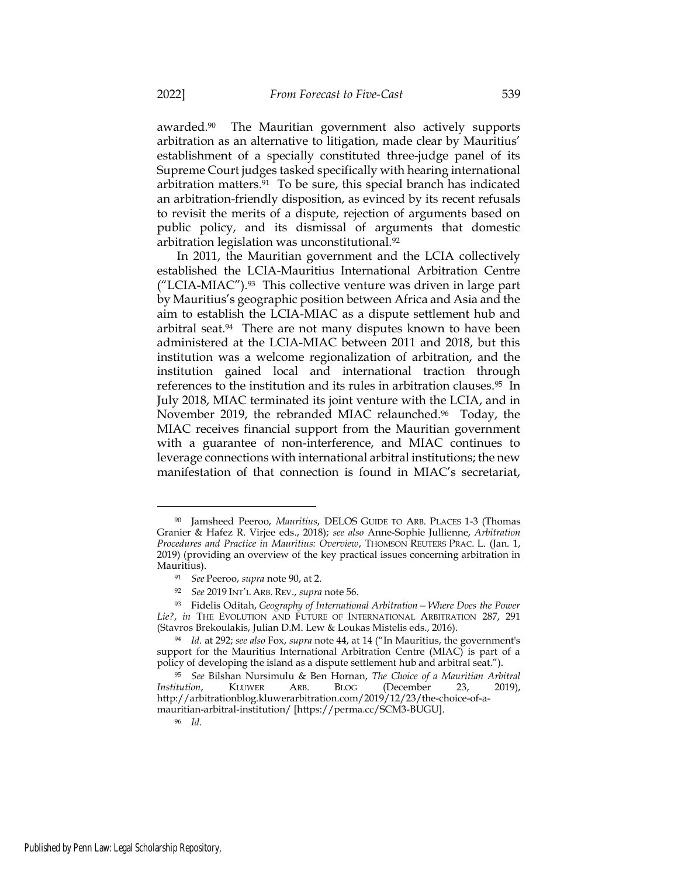awarded.90 The Mauritian government also actively supports arbitration as an alternative to litigation, made clear by Mauritius' establishment of a specially constituted three-judge panel of its Supreme Court judges tasked specifically with hearing international arbitration matters.91 To be sure, this special branch has indicated an arbitration-friendly disposition, as evinced by its recent refusals to revisit the merits of a dispute, rejection of arguments based on public policy, and its dismissal of arguments that domestic arbitration legislation was unconstitutional.<sup>92</sup>

In 2011, the Mauritian government and the LCIA collectively established the LCIA-Mauritius International Arbitration Centre ("LCIA-MIAC").93 This collective venture was driven in large part by Mauritius's geographic position between Africa and Asia and the aim to establish the LCIA-MIAC as a dispute settlement hub and arbitral seat.<sup>94</sup> There are not many disputes known to have been administered at the LCIA-MIAC between 2011 and 2018, but this institution was a welcome regionalization of arbitration, and the institution gained local and international traction through references to the institution and its rules in arbitration clauses.95 In July 2018, MIAC terminated its joint venture with the LCIA, and in November 2019, the rebranded MIAC relaunched.<sup>96</sup> Today, the MIAC receives financial support from the Mauritian government with a guarantee of non-interference, and MIAC continues to leverage connections with international arbitral institutions; the new manifestation of that connection is found in MIAC's secretariat,

<sup>90</sup> Jamsheed Peeroo, Mauritius, DELOS GUIDE TO ARB. PLACES 1-3 (Thomas Granier & Hafez R. Virjee eds., 2018); see also Anne-Sophie Jullienne, Arbitration Procedures and Practice in Mauritius: Overview, THOMSON REUTERS PRAC. L. (Jan. 1, 2019) (providing an overview of the key practical issues concerning arbitration in Mauritius).

<sup>91</sup> See Peeroo, supra note 90, at 2.

<sup>92</sup> See 2019 INT'L ARB. REV., supra note 56.

<sup>93</sup> Fidelis Oditah, Geography of International Arbitration - Where Does the Power Lie?, in THE EVOLUTION AND FUTURE OF INTERNATIONAL ARBITRATION 287, 291 (Stavros Brekoulakis, Julian D.M. Lew & Loukas Mistelis eds., 2016).

<sup>94</sup> Id. at 292; see also Fox, supra note 44, at 14 ("In Mauritius, the government's support for the Mauritius International Arbitration Centre (MIAC) is part of a policy of developing the island as a dispute settlement hub and arbitral seat.").

<sup>&</sup>lt;sup>95</sup> See Bilshan Nursimulu & Ben Hornan, *The Choice of a Mauritian Arbitral itution*, **KLUWER** ARB, **BLOG** (December 23, 2019), Institution, KLUWER ARB. BLOG (December 23, 2019), http://arbitrationblog.kluwerarbitration.com/2019/12/23/the-choice-of-amauritian-arbitral-institution/ [https://perma.cc/SCM3-BUGU].

<sup>96</sup> Id.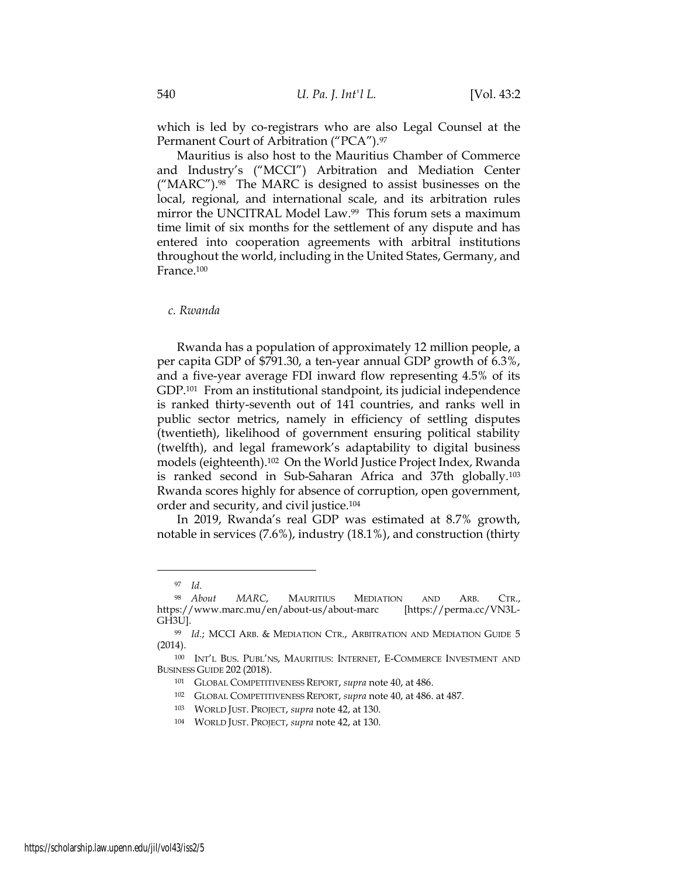which is led by co-registrars who are also Legal Counsel at the Permanent Court of Arbitration ("PCA").<sup>97</sup>

Mauritius is also host to the Mauritius Chamber of Commerce and Industry's ("MCCI") Arbitration and Mediation Center ("MARC").98 The MARC is designed to assist businesses on the local, regional, and international scale, and its arbitration rules mirror the UNCITRAL Model Law.<sup>99</sup> This forum sets a maximum time limit of six months for the settlement of any dispute and has entered into cooperation agreements with arbitral institutions throughout the world, including in the United States, Germany, and France.<sup>100</sup>

#### c. Rwanda

Rwanda has a population of approximately 12 million people, a per capita GDP of \$791.30, a ten-year annual GDP growth of 6.3%, and a five-year average FDI inward flow representing 4.5% of its GDP.<sup>101</sup> From an institutional standpoint, its judicial independence is ranked thirty-seventh out of 141 countries, and ranks well in public sector metrics, namely in efficiency of settling disputes (twentieth), likelihood of government ensuring political stability (twelfth), and legal framework's adaptability to digital business models (eighteenth).102 On the World Justice Project Index, Rwanda is ranked second in Sub-Saharan Africa and 37th globally.<sup>103</sup> Rwanda scores highly for absence of corruption, open government, order and security, and civil justice.<sup>104</sup>

In 2019, Rwanda's real GDP was estimated at 8.7% growth, notable in services (7.6%), industry (18.1%), and construction (thirty

<sup>97</sup> Id.

<sup>98</sup> About MARC, MAURITIUS MEDIATION AND ARB. CTR., https://www.marc.mu/en/about-us/about-marc [https://perma.cc/VN3L-GH3U].

<sup>99</sup> Id.; MCCI ARB. & MEDIATION CTR., ARBITRATION AND MEDIATION GUIDE 5 (2014).

<sup>100</sup> INT'L BUS. PUBL'NS, MAURITIUS: INTERNET, E-COMMERCE INVESTMENT AND BUSINESS GUIDE 202 (2018).

<sup>101</sup> GLOBAL COMPETITIVENESS REPORT, supra note 40, at 486.

<sup>102</sup> GLOBAL COMPETITIVENESS REPORT, supra note 40, at 486. at 487.

<sup>103</sup> WORLD JUST. PROJECT, supra note 42, at 130.

<sup>104</sup> WORLD JUST. PROJECT, supra note 42, at 130.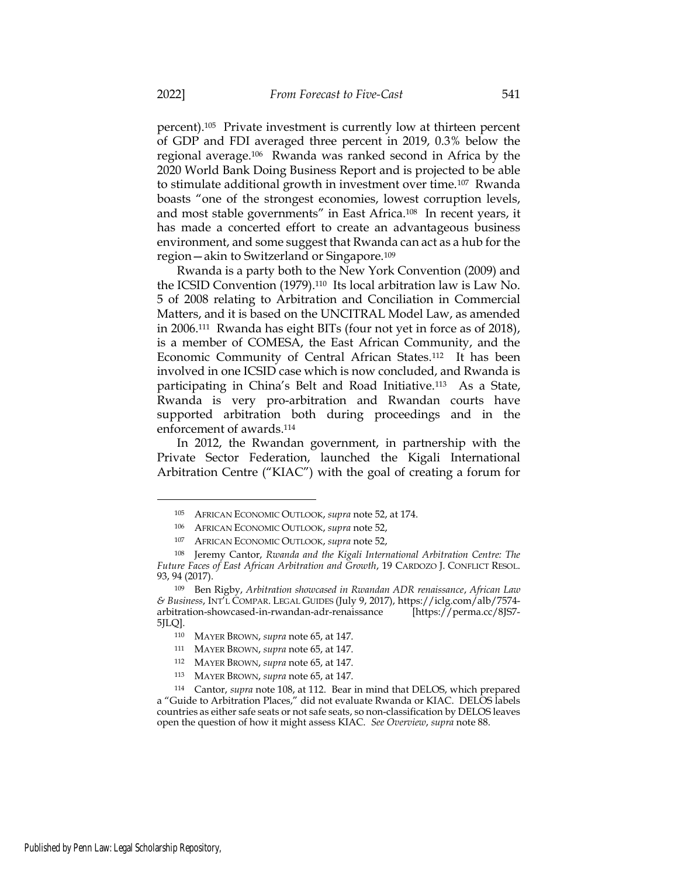percent).105 Private investment is currently low at thirteen percent of GDP and FDI averaged three percent in 2019, 0.3% below the regional average.106 Rwanda was ranked second in Africa by the 2020 World Bank Doing Business Report and is projected to be able to stimulate additional growth in investment over time.107 Rwanda boasts "one of the strongest economies, lowest corruption levels, and most stable governments" in East Africa.108 In recent years, it has made a concerted effort to create an advantageous business environment, and some suggest that Rwanda can act as a hub for the region—akin to Switzerland or Singapore.<sup>109</sup>

Rwanda is a party both to the New York Convention (2009) and the ICSID Convention (1979).110 Its local arbitration law is Law No. 5 of 2008 relating to Arbitration and Conciliation in Commercial Matters, and it is based on the UNCITRAL Model Law, as amended in 2006.111 Rwanda has eight BITs (four not yet in force as of 2018), is a member of COMESA, the East African Community, and the Economic Community of Central African States.112 It has been involved in one ICSID case which is now concluded, and Rwanda is participating in China's Belt and Road Initiative.113 As a State, Rwanda is very pro-arbitration and Rwandan courts have supported arbitration both during proceedings and in the enforcement of awards.<sup>114</sup>

In 2012, the Rwandan government, in partnership with the Private Sector Federation, launched the Kigali International Arbitration Centre ("KIAC") with the goal of creating a forum for

<sup>105</sup> AFRICAN ECONOMIC OUTLOOK, supra note 52, at 174.

<sup>106</sup> AFRICAN ECONOMIC OUTLOOK, supra note 52,

<sup>107</sup> AFRICAN ECONOMIC OUTLOOK, supra note 52,

<sup>108</sup> Jeremy Cantor, Rwanda and the Kigali International Arbitration Centre: The Future Faces of East African Arbitration and Growth, 19 CARDOZO J. CONFLICT RESOL. 93, 94 (2017).

<sup>109</sup> Ben Rigby, Arbitration showcased in Rwandan ADR renaissance, African Law & Business, INT'L COMPAR. LEGAL GUIDES (July 9, 2017), https://iclg.com/alb/7574 arbitration-showcased-in-rwandan-adr-renaissance [https://perma.cc/8JS7- 5JLQ].

<sup>110</sup> MAYER BROWN, supra note 65, at 147.

<sup>111</sup> MAYER BROWN, supra note 65, at 147.

<sup>112</sup> MAYER BROWN, supra note 65, at 147.

<sup>113</sup> MAYER BROWN, supra note 65, at 147.

<sup>114</sup> Cantor, supra note 108, at 112. Bear in mind that DELOS, which prepared a "Guide to Arbitration Places," did not evaluate Rwanda or KIAC. DELOS labels countries as either safe seats or not safe seats, so non-classification by DELOS leaves open the question of how it might assess KIAC. See Overview, supra note 88.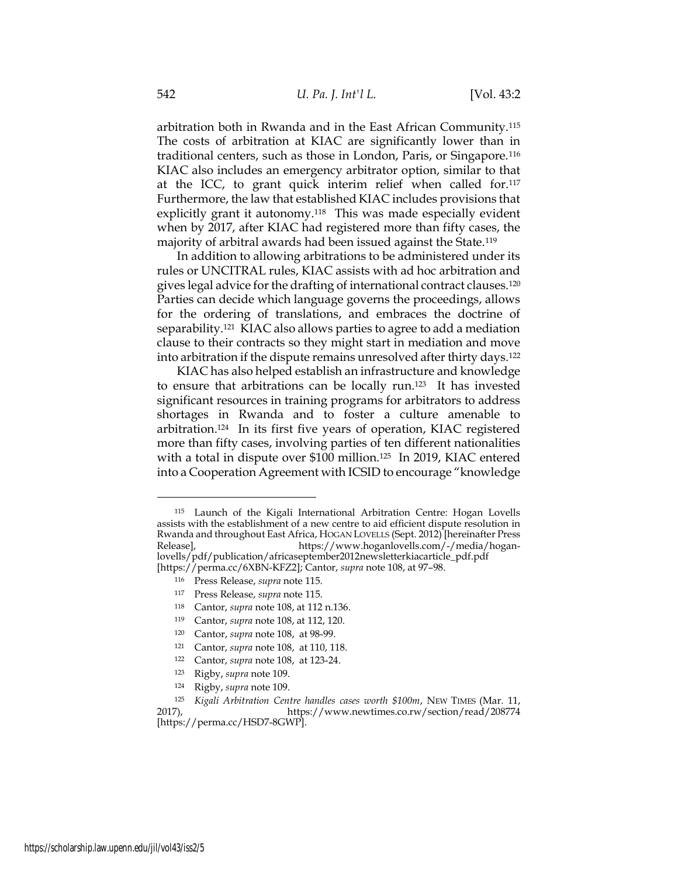arbitration both in Rwanda and in the East African Community.<sup>115</sup> The costs of arbitration at KIAC are significantly lower than in traditional centers, such as those in London, Paris, or Singapore.<sup>116</sup> KIAC also includes an emergency arbitrator option, similar to that at the ICC, to grant quick interim relief when called for.<sup>117</sup> Furthermore, the law that established KIAC includes provisions that explicitly grant it autonomy.<sup>118</sup> This was made especially evident when by 2017, after KIAC had registered more than fifty cases, the majority of arbitral awards had been issued against the State.<sup>119</sup>

In addition to allowing arbitrations to be administered under its rules or UNCITRAL rules, KIAC assists with ad hoc arbitration and gives legal advice for the drafting of international contract clauses.<sup>120</sup> Parties can decide which language governs the proceedings, allows for the ordering of translations, and embraces the doctrine of separability.121 KIAC also allows parties to agree to add a mediation clause to their contracts so they might start in mediation and move into arbitration if the dispute remains unresolved after thirty days.<sup>122</sup>

KIAC has also helped establish an infrastructure and knowledge to ensure that arbitrations can be locally run.123 It has invested significant resources in training programs for arbitrators to address shortages in Rwanda and to foster a culture amenable to arbitration.124 In its first five years of operation, KIAC registered more than fifty cases, involving parties of ten different nationalities with a total in dispute over \$100 million.125 In 2019, KIAC entered into a Cooperation Agreement with ICSID to encourage "knowledge

- <sup>117</sup> Press Release, supra note 115.
- <sup>118</sup> Cantor, supra note 108, at 112 n.136.
- <sup>119</sup> Cantor, supra note 108, at 112, 120.
- <sup>120</sup> Cantor, supra note 108, at 98-99.
- <sup>121</sup> Cantor, supra note 108, at 110, 118.
- <sup>122</sup> Cantor, supra note 108, at 123-24.
- <sup>123</sup> Rigby, supra note 109.
- <sup>124</sup> Rigby, supra note 109.

<sup>115</sup> Launch of the Kigali International Arbitration Centre: Hogan Lovells assists with the establishment of a new centre to aid efficient dispute resolution in Rwanda and throughout East Africa, HOGAN LOVELLS (Sept. 2012) [hereinafter Press Release], https://www.hoganlovells.com/-/media/hoganlovells/pdf/publication/africaseptember2012newsletterkiacarticle\_pdf.pdf [https://perma.cc/6XBN-KFZ2]; Cantor, supra note 108, at 97–98.

<sup>116</sup> Press Release, supra note 115.

<sup>125</sup> Kigali Arbitration Centre handles cases worth \$100m, NEW TIMES (Mar. 11, 2017), https://www.newtimes.co.rw/section/read/208774 [https://perma.cc/HSD7-8GWP].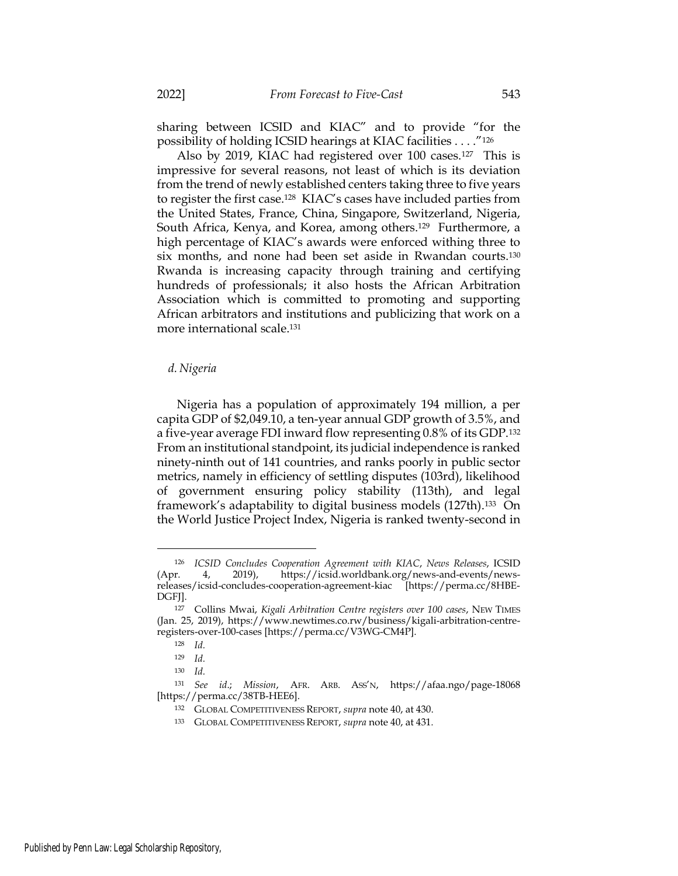sharing between ICSID and KIAC" and to provide "for the possibility of holding ICSID hearings at KIAC facilities . . . ."<sup>126</sup>

Also by 2019, KIAC had registered over 100 cases.127 This is impressive for several reasons, not least of which is its deviation from the trend of newly established centers taking three to five years to register the first case.128 KIAC's cases have included parties from the United States, France, China, Singapore, Switzerland, Nigeria, South Africa, Kenya, and Korea, among others.129 Furthermore, a high percentage of KIAC's awards were enforced withing three to six months, and none had been set aside in Rwandan courts.<sup>130</sup> Rwanda is increasing capacity through training and certifying hundreds of professionals; it also hosts the African Arbitration Association which is committed to promoting and supporting African arbitrators and institutions and publicizing that work on a more international scale.<sup>131</sup>

#### d. Nigeria

Nigeria has a population of approximately 194 million, a per capita GDP of \$2,049.10, a ten-year annual GDP growth of 3.5%, and a five-year average FDI inward flow representing 0.8% of its GDP.<sup>132</sup> From an institutional standpoint, its judicial independence is ranked ninety-ninth out of 141 countries, and ranks poorly in public sector metrics, namely in efficiency of settling disputes (103rd), likelihood of government ensuring policy stability (113th), and legal framework's adaptability to digital business models (127th).133 On the World Justice Project Index, Nigeria is ranked twenty-second in

<sup>126</sup> ICSID Concludes Cooperation Agreement with KIAC, News Releases, ICSID (Apr. 4, 2019), https://icsid.worldbank.org/news-and-events/newsreleases/icsid-concludes-cooperation-agreement-kiac [https://perma.cc/8HBE-DGFJ].

<sup>127</sup> Collins Mwai, Kigali Arbitration Centre registers over 100 cases, NEW TIMES (Jan. 25, 2019), https://www.newtimes.co.rw/business/kigali-arbitration-centreregisters-over-100-cases [https://perma.cc/V3WG-CM4P].

<sup>128</sup> Id.

<sup>129</sup> Id.

<sup>130</sup> Id.

<sup>131</sup> See id.; Mission, AFR. ARB. ASS'N, https://afaa.ngo/page-18068 [https://perma.cc/38TB-HEE6].

<sup>132</sup> GLOBAL COMPETITIVENESS REPORT, supra note 40, at 430.

<sup>133</sup> GLOBAL COMPETITIVENESS REPORT, supra note 40, at 431.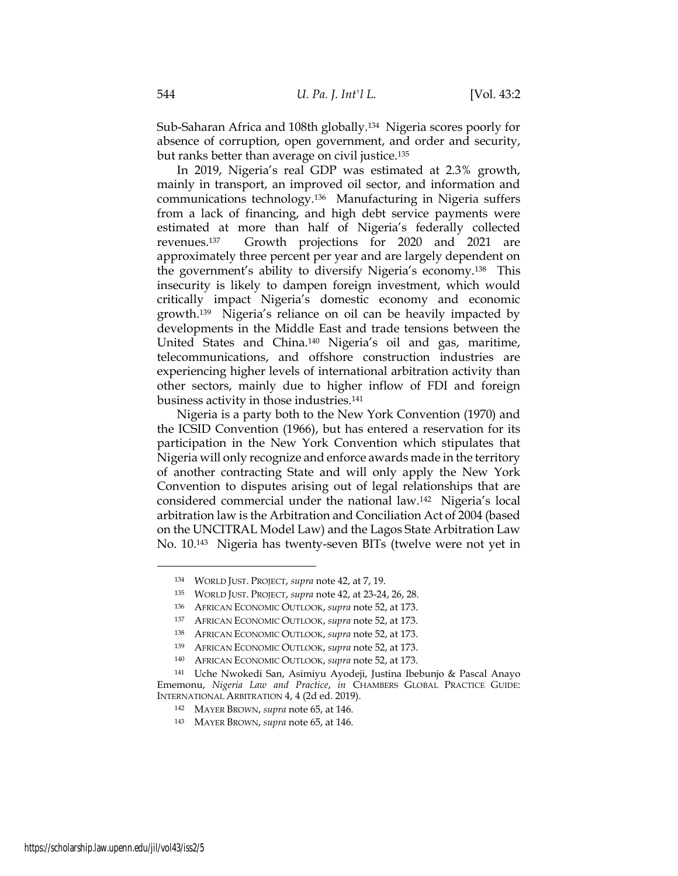Sub-Saharan Africa and 108th globally.134 Nigeria scores poorly for absence of corruption, open government, and order and security, but ranks better than average on civil justice.<sup>135</sup>

In 2019, Nigeria's real GDP was estimated at 2.3% growth, mainly in transport, an improved oil sector, and information and communications technology.136 Manufacturing in Nigeria suffers from a lack of financing, and high debt service payments were estimated at more than half of Nigeria's federally collected revenues.137 Growth projections for 2020 and 2021 are approximately three percent per year and are largely dependent on the government's ability to diversify Nigeria's economy.138 This insecurity is likely to dampen foreign investment, which would critically impact Nigeria's domestic economy and economic growth.139 Nigeria's reliance on oil can be heavily impacted by developments in the Middle East and trade tensions between the United States and China.140 Nigeria's oil and gas, maritime, telecommunications, and offshore construction industries are experiencing higher levels of international arbitration activity than other sectors, mainly due to higher inflow of FDI and foreign business activity in those industries.<sup>141</sup>

Nigeria is a party both to the New York Convention (1970) and the ICSID Convention (1966), but has entered a reservation for its participation in the New York Convention which stipulates that Nigeria will only recognize and enforce awards made in the territory of another contracting State and will only apply the New York Convention to disputes arising out of legal relationships that are considered commercial under the national law.142 Nigeria's local arbitration law is the Arbitration and Conciliation Act of 2004 (based on the UNCITRAL Model Law) and the Lagos State Arbitration Law No. 10.143 Nigeria has twenty-seven BITs (twelve were not yet in

<sup>134</sup> WORLD JUST. PROJECT, supra note 42, at 7, 19.

<sup>135</sup> WORLD JUST. PROJECT, supra note 42, at 23-24, 26, 28.

<sup>136</sup> AFRICAN ECONOMIC OUTLOOK, supra note 52, at 173.

<sup>137</sup> AFRICAN ECONOMIC OUTLOOK, supra note 52, at 173.

<sup>138</sup> AFRICAN ECONOMIC OUTLOOK, supra note 52, at 173.

<sup>139</sup> AFRICAN ECONOMIC OUTLOOK, supra note 52, at 173.

<sup>140</sup> AFRICAN ECONOMIC OUTLOOK, supra note 52, at 173.

<sup>141</sup> Uche Nwokedi San, Asimiyu Ayodeji, Justina Ibebunjo & Pascal Anayo Ememonu, Nigeria Law and Practice, in CHAMBERS GLOBAL PRACTICE GUIDE: INTERNATIONAL ARBITRATION 4, 4 (2d ed. 2019).

<sup>142</sup> MAYER BROWN, supra note 65, at 146.

<sup>143</sup> MAYER BROWN, supra note 65, at 146.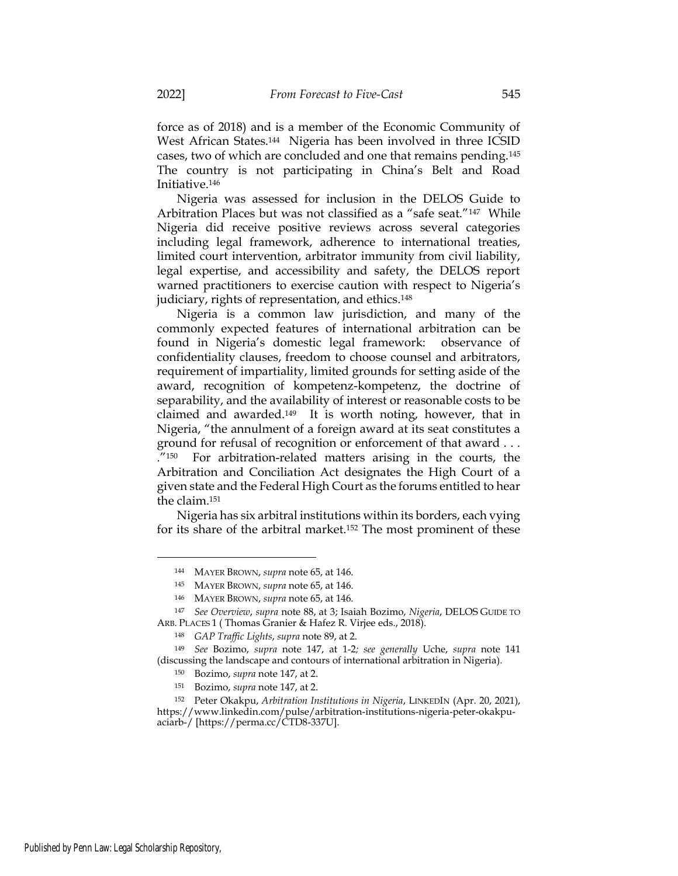force as of 2018) and is a member of the Economic Community of West African States.144 Nigeria has been involved in three ICSID cases, two of which are concluded and one that remains pending.<sup>145</sup> The country is not participating in China's Belt and Road Initiative.<sup>146</sup>

Nigeria was assessed for inclusion in the DELOS Guide to Arbitration Places but was not classified as a "safe seat."147 While Nigeria did receive positive reviews across several categories including legal framework, adherence to international treaties, limited court intervention, arbitrator immunity from civil liability, legal expertise, and accessibility and safety, the DELOS report warned practitioners to exercise caution with respect to Nigeria's judiciary, rights of representation, and ethics.<sup>148</sup>

Nigeria is a common law jurisdiction, and many of the commonly expected features of international arbitration can be found in Nigeria's domestic legal framework: observance of confidentiality clauses, freedom to choose counsel and arbitrators, requirement of impartiality, limited grounds for setting aside of the award, recognition of kompetenz-kompetenz, the doctrine of separability, and the availability of interest or reasonable costs to be claimed and awarded.149 It is worth noting, however, that in Nigeria, "the annulment of a foreign award at its seat constitutes a ground for refusal of recognition or enforcement of that award . . . ."150 For arbitration-related matters arising in the courts, the Arbitration and Conciliation Act designates the High Court of a given state and the Federal High Court as the forums entitled to hear the claim.<sup>151</sup>

Nigeria has six arbitral institutions within its borders, each vying for its share of the arbitral market.152 The most prominent of these

<sup>144</sup> MAYER BROWN, supra note 65, at 146.

<sup>145</sup> MAYER BROWN, supra note 65, at 146.

<sup>146</sup> MAYER BROWN, supra note 65, at 146.

<sup>147</sup> See Overview, supra note 88, at 3; Isaiah Bozimo, Nigeria, DELOS GUIDE TO ARB. PLACES 1 ( Thomas Granier & Hafez R. Virjee eds., 2018).

<sup>148</sup> GAP Traffic Lights, supra note 89, at 2.

<sup>149</sup> See Bozimo, supra note 147, at 1-2; see generally Uche, supra note 141 (discussing the landscape and contours of international arbitration in Nigeria).

<sup>150</sup> Bozimo, supra note 147, at 2.

<sup>151</sup> Bozimo, supra note 147, at 2.

<sup>152</sup> Peter Okakpu, Arbitration Institutions in Nigeria, LINKEDIN (Apr. 20, 2021), https://www.linkedin.com/pulse/arbitration-institutions-nigeria-peter-okakpuaciarb-/ [https://perma.cc/CTD8-337U].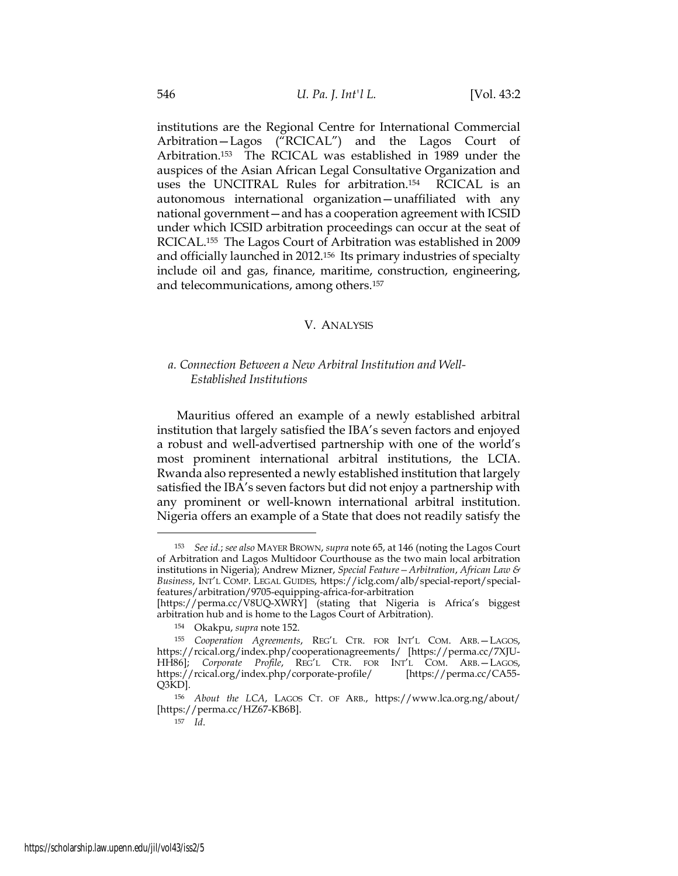institutions are the Regional Centre for International Commercial Arbitration—Lagos ("RCICAL") and the Lagos Court of Arbitration.153 The RCICAL was established in 1989 under the auspices of the Asian African Legal Consultative Organization and uses the UNCITRAL Rules for arbitration.154 RCICAL is an autonomous international organization—unaffiliated with any national government—and has a cooperation agreement with ICSID under which ICSID arbitration proceedings can occur at the seat of RCICAL.155 The Lagos Court of Arbitration was established in 2009 and officially launched in 2012.156 Its primary industries of specialty include oil and gas, finance, maritime, construction, engineering, and telecommunications, among others.<sup>157</sup>

#### V. ANALYSIS

## a. Connection Between a New Arbitral Institution and Well-Established Institutions

Mauritius offered an example of a newly established arbitral institution that largely satisfied the IBA's seven factors and enjoyed a robust and well-advertised partnership with one of the world's most prominent international arbitral institutions, the LCIA. Rwanda also represented a newly established institution that largely satisfied the IBA's seven factors but did not enjoy a partnership with any prominent or well-known international arbitral institution. Nigeria offers an example of a State that does not readily satisfy the

<sup>153</sup> See id.; see also MAYER BROWN, supra note 65, at 146 (noting the Lagos Court of Arbitration and Lagos Multidoor Courthouse as the two main local arbitration institutions in Nigeria); Andrew Mizner, Special Feature - Arbitration, African Law  $\mathcal E$ Business, INT'L COMP. LEGAL GUIDES, https://iclg.com/alb/special-report/specialfeatures/arbitration/9705-equipping-africa-for-arbitration

<sup>[</sup>https://perma.cc/V8UQ-XWRY] (stating that Nigeria is Africa's biggest arbitration hub and is home to the Lagos Court of Arbitration).

<sup>154</sup> Okakpu, supra note 152.

<sup>155</sup> Cooperation Agreements, REG'L CTR. FOR INT'L COM. ARB.—LAGOS, https://rcical.org/index.php/cooperationagreements/ [https://perma.cc/7XJU-HH86]; Corporate Profile, REG'L CTR. FOR INT'L COM. ARB.—LAGOS, https://rcical.org/index.php/corporate-profile/ [https://perma.cc/CA55- Q3KD].

<sup>156</sup> About the LCA, LAGOS CT. OF ARB., https://www.lca.org.ng/about/ [https://perma.cc/HZ67-KB6B].

 $157$  *Id.*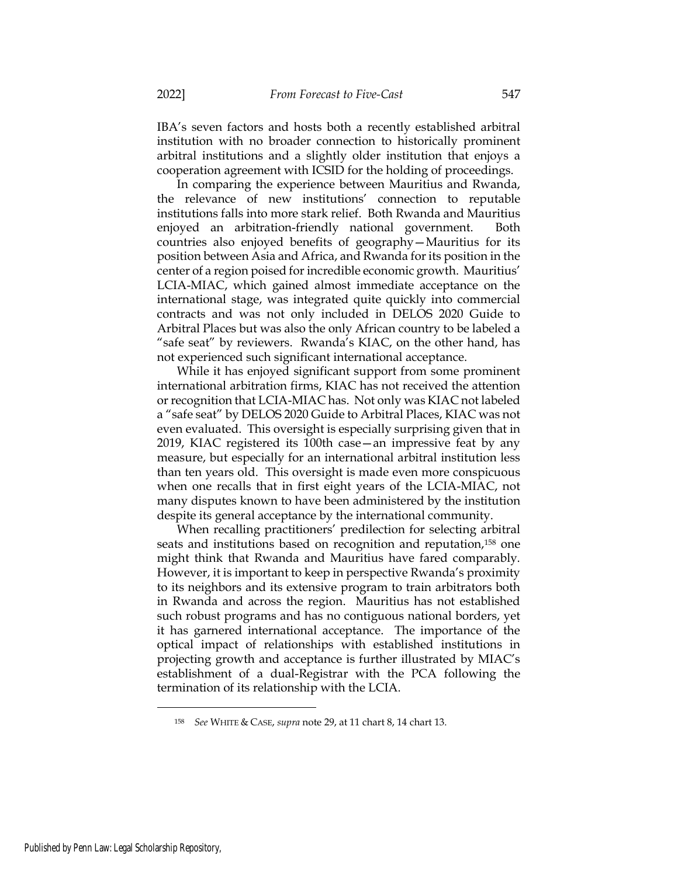IBA's seven factors and hosts both a recently established arbitral institution with no broader connection to historically prominent arbitral institutions and a slightly older institution that enjoys a cooperation agreement with ICSID for the holding of proceedings.

In comparing the experience between Mauritius and Rwanda, the relevance of new institutions' connection to reputable institutions falls into more stark relief. Both Rwanda and Mauritius enjoyed an arbitration-friendly national government. Both countries also enjoyed benefits of geography—Mauritius for its position between Asia and Africa, and Rwanda for its position in the center of a region poised for incredible economic growth. Mauritius' LCIA-MIAC, which gained almost immediate acceptance on the international stage, was integrated quite quickly into commercial contracts and was not only included in DELOS 2020 Guide to Arbitral Places but was also the only African country to be labeled a "safe seat" by reviewers. Rwanda's KIAC, on the other hand, has not experienced such significant international acceptance.

While it has enjoyed significant support from some prominent international arbitration firms, KIAC has not received the attention or recognition that LCIA-MIAC has. Not only was KIAC not labeled a "safe seat" by DELOS 2020 Guide to Arbitral Places, KIAC was not even evaluated. This oversight is especially surprising given that in 2019, KIAC registered its 100th case—an impressive feat by any measure, but especially for an international arbitral institution less than ten years old. This oversight is made even more conspicuous when one recalls that in first eight years of the LCIA-MIAC, not many disputes known to have been administered by the institution despite its general acceptance by the international community.

When recalling practitioners' predilection for selecting arbitral seats and institutions based on recognition and reputation,158 one might think that Rwanda and Mauritius have fared comparably. However, it is important to keep in perspective Rwanda's proximity to its neighbors and its extensive program to train arbitrators both in Rwanda and across the region. Mauritius has not established such robust programs and has no contiguous national borders, yet it has garnered international acceptance. The importance of the optical impact of relationships with established institutions in projecting growth and acceptance is further illustrated by MIAC's establishment of a dual-Registrar with the PCA following the termination of its relationship with the LCIA.

<sup>158</sup> See WHITE & CASE, supra note 29, at 11 chart 8, 14 chart 13.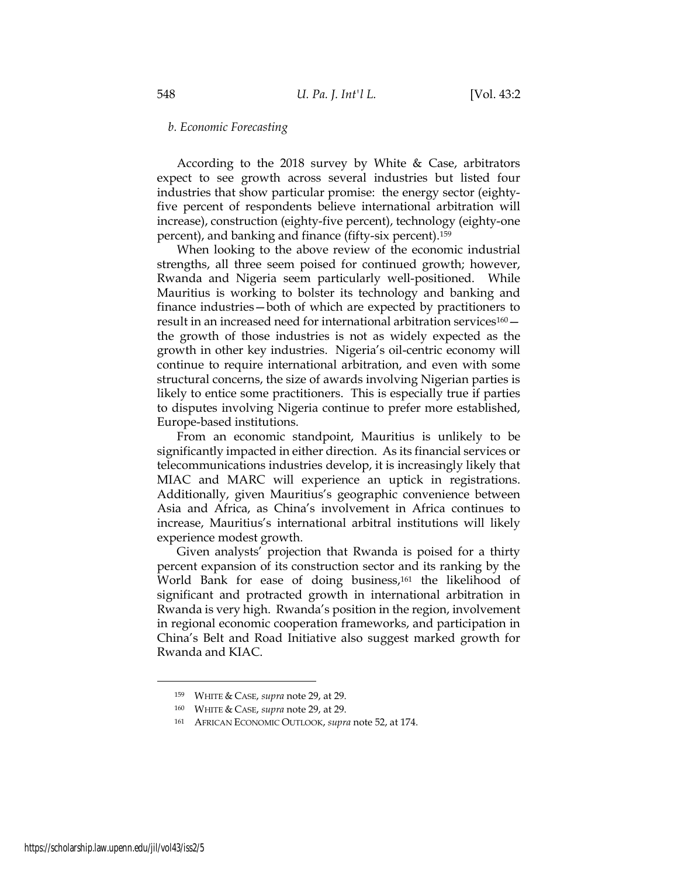#### b. Economic Forecasting

According to the 2018 survey by White & Case, arbitrators expect to see growth across several industries but listed four industries that show particular promise: the energy sector (eightyfive percent of respondents believe international arbitration will increase), construction (eighty-five percent), technology (eighty-one percent), and banking and finance (fifty-six percent).<sup>159</sup>

When looking to the above review of the economic industrial strengths, all three seem poised for continued growth; however, Rwanda and Nigeria seem particularly well-positioned. While Mauritius is working to bolster its technology and banking and finance industries—both of which are expected by practitioners to result in an increased need for international arbitration services<sup>160</sup> – the growth of those industries is not as widely expected as the growth in other key industries. Nigeria's oil-centric economy will continue to require international arbitration, and even with some structural concerns, the size of awards involving Nigerian parties is likely to entice some practitioners. This is especially true if parties to disputes involving Nigeria continue to prefer more established, Europe-based institutions.

From an economic standpoint, Mauritius is unlikely to be significantly impacted in either direction. As its financial services or telecommunications industries develop, it is increasingly likely that MIAC and MARC will experience an uptick in registrations. Additionally, given Mauritius's geographic convenience between Asia and Africa, as China's involvement in Africa continues to increase, Mauritius's international arbitral institutions will likely experience modest growth.

Given analysts' projection that Rwanda is poised for a thirty percent expansion of its construction sector and its ranking by the World Bank for ease of doing business,161 the likelihood of significant and protracted growth in international arbitration in Rwanda is very high. Rwanda's position in the region, involvement in regional economic cooperation frameworks, and participation in China's Belt and Road Initiative also suggest marked growth for Rwanda and KIAC.

<sup>159</sup> WHITE & CASE, supra note 29, at 29.

<sup>160</sup> WHITE & CASE, supra note 29, at 29.

<sup>161</sup> AFRICAN ECONOMIC OUTLOOK, supra note 52, at 174.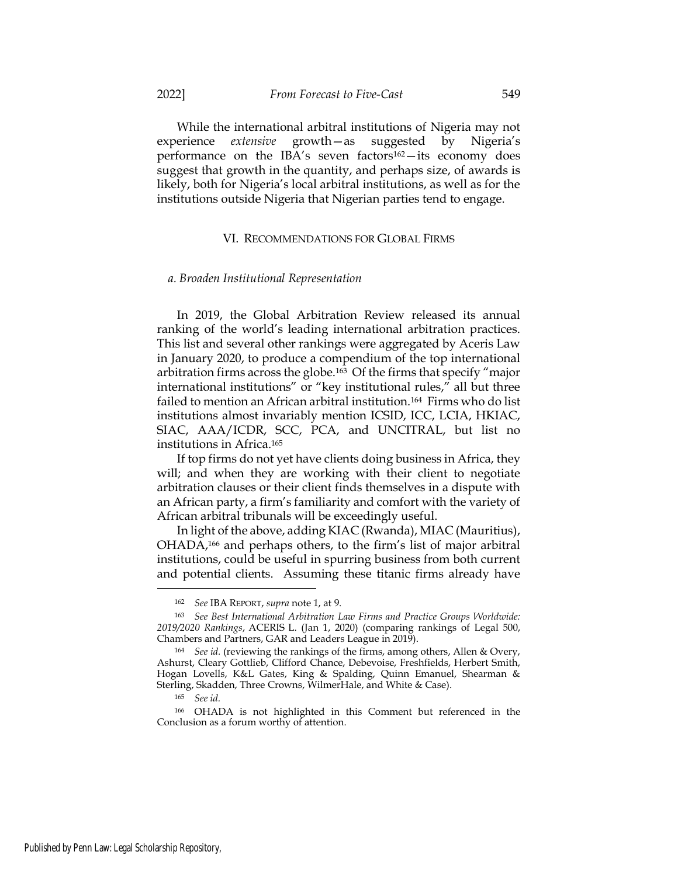While the international arbitral institutions of Nigeria may not experience extensive growth—as suggested by Nigeria's performance on the IBA's seven factors $162 -$ its economy does suggest that growth in the quantity, and perhaps size, of awards is likely, both for Nigeria's local arbitral institutions, as well as for the institutions outside Nigeria that Nigerian parties tend to engage.

#### VI. RECOMMENDATIONS FOR GLOBAL FIRMS

#### a. Broaden Institutional Representation

In 2019, the Global Arbitration Review released its annual ranking of the world's leading international arbitration practices. This list and several other rankings were aggregated by Aceris Law in January 2020, to produce a compendium of the top international arbitration firms across the globe.163 Of the firms that specify "major international institutions" or "key institutional rules," all but three failed to mention an African arbitral institution.164 Firms who do list institutions almost invariably mention ICSID, ICC, LCIA, HKIAC, SIAC, AAA/ICDR, SCC, PCA, and UNCITRAL, but list no institutions in Africa.<sup>165</sup>

If top firms do not yet have clients doing business in Africa, they will; and when they are working with their client to negotiate arbitration clauses or their client finds themselves in a dispute with an African party, a firm's familiarity and comfort with the variety of African arbitral tribunals will be exceedingly useful.

In light of the above, adding KIAC (Rwanda), MIAC (Mauritius), OHADA,166 and perhaps others, to the firm's list of major arbitral institutions, could be useful in spurring business from both current and potential clients. Assuming these titanic firms already have

<sup>162</sup> See IBA REPORT, supra note 1, at 9.

<sup>163</sup> See Best International Arbitration Law Firms and Practice Groups Worldwide: 2019/2020 Rankings, ACERIS L. (Jan 1, 2020) (comparing rankings of Legal 500, Chambers and Partners, GAR and Leaders League in 2019).

<sup>164</sup> See id. (reviewing the rankings of the firms, among others, Allen & Overy, Ashurst, Cleary Gottlieb, Clifford Chance, Debevoise, Freshfields, Herbert Smith, Hogan Lovells, K&L Gates, King & Spalding, Quinn Emanuel, Shearman & Sterling, Skadden, Three Crowns, WilmerHale, and White & Case).

<sup>165</sup> See id.

<sup>166</sup> OHADA is not highlighted in this Comment but referenced in the Conclusion as a forum worthy of attention.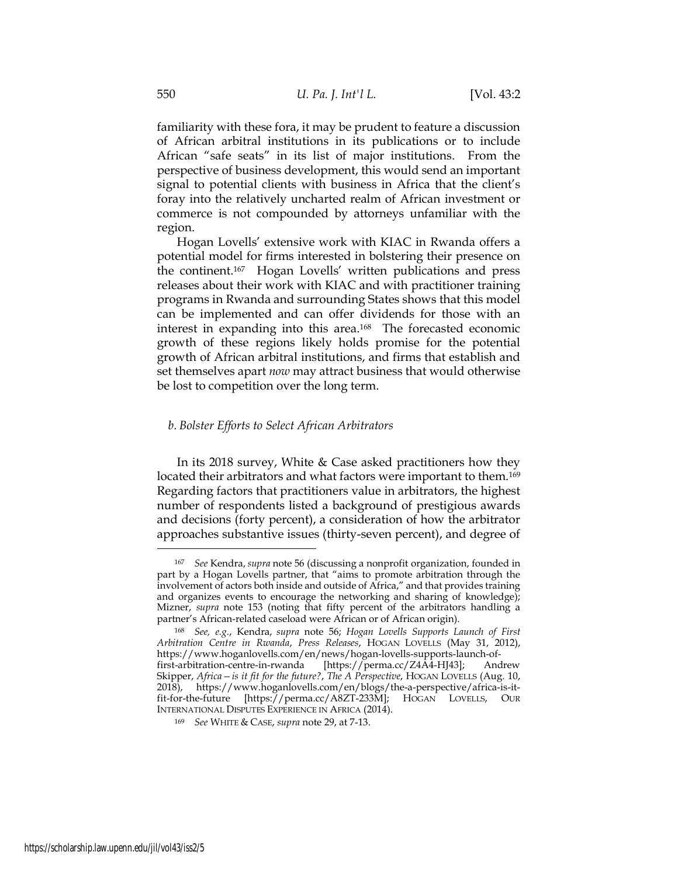familiarity with these fora, it may be prudent to feature a discussion of African arbitral institutions in its publications or to include African "safe seats" in its list of major institutions. From the perspective of business development, this would send an important signal to potential clients with business in Africa that the client's foray into the relatively uncharted realm of African investment or commerce is not compounded by attorneys unfamiliar with the region.

Hogan Lovells' extensive work with KIAC in Rwanda offers a potential model for firms interested in bolstering their presence on the continent.167 Hogan Lovells' written publications and press releases about their work with KIAC and with practitioner training programs in Rwanda and surrounding States shows that this model can be implemented and can offer dividends for those with an interest in expanding into this area.168 The forecasted economic growth of these regions likely holds promise for the potential growth of African arbitral institutions, and firms that establish and set themselves apart *now* may attract business that would otherwise be lost to competition over the long term.

### b. Bolster Efforts to Select African Arbitrators

In its 2018 survey, White & Case asked practitioners how they located their arbitrators and what factors were important to them.<sup>169</sup> Regarding factors that practitioners value in arbitrators, the highest number of respondents listed a background of prestigious awards and decisions (forty percent), a consideration of how the arbitrator approaches substantive issues (thirty-seven percent), and degree of

<sup>167</sup> See Kendra, supra note 56 (discussing a nonprofit organization, founded in part by a Hogan Lovells partner, that "aims to promote arbitration through the involvement of actors both inside and outside of Africa," and that provides training and organizes events to encourage the networking and sharing of knowledge); Mizner, supra note 153 (noting that fifty percent of the arbitrators handling a partner's African-related caseload were African or of African origin).

<sup>168</sup> See, e.g., Kendra, supra note 56; Hogan Lovells Supports Launch of First Arbitration Centre in Rwanda, Press Releases, HOGAN LOVELLS (May 31, 2012), https://www.hoganlovells.com/en/news/hogan-lovells-supports-launch-offirst-arbitration-centre-in-rwanda [https://perma.cc/Z4A4-HJ43]; Andrew Skipper, Africa—is it fit for the future?, The A Perspective, HOGAN LOVELLS (Aug. 10, 2018), https://www.hoganlovells.com/en/blogs/the-a-perspective/africa-is-itfit-for-the-future [https://perma.cc/A8ZT-233M]; HOGAN LOVELLS, OUR INTERNATIONAL DISPUTES EXPERIENCE IN AFRICA (2014).

<sup>169</sup> See WHITE & CASE, supra note 29, at 7-13.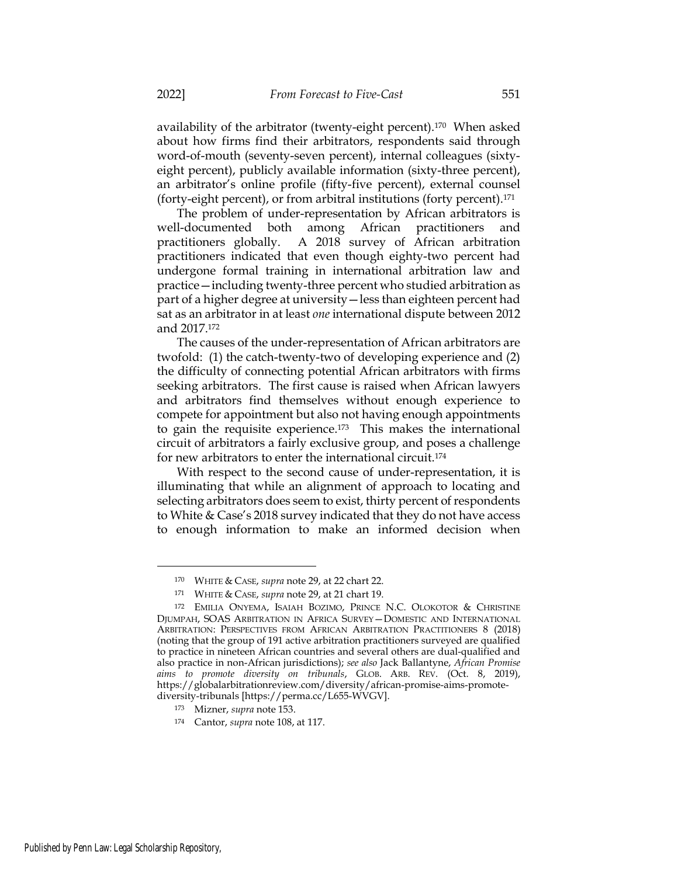availability of the arbitrator (twenty-eight percent).170 When asked about how firms find their arbitrators, respondents said through word-of-mouth (seventy-seven percent), internal colleagues (sixtyeight percent), publicly available information (sixty-three percent), an arbitrator's online profile (fifty-five percent), external counsel (forty-eight percent), or from arbitral institutions (forty percent).<sup>171</sup>

The problem of under-representation by African arbitrators is well-documented both among African practitioners and practitioners globally. A 2018 survey of African arbitration practitioners indicated that even though eighty-two percent had undergone formal training in international arbitration law and practice—including twenty-three percent who studied arbitration as part of a higher degree at university—less than eighteen percent had sat as an arbitrator in at least one international dispute between 2012 and 2017.<sup>172</sup>

The causes of the under-representation of African arbitrators are twofold: (1) the catch-twenty-two of developing experience and (2) the difficulty of connecting potential African arbitrators with firms seeking arbitrators. The first cause is raised when African lawyers and arbitrators find themselves without enough experience to compete for appointment but also not having enough appointments to gain the requisite experience.173 This makes the international circuit of arbitrators a fairly exclusive group, and poses a challenge for new arbitrators to enter the international circuit.<sup>174</sup>

With respect to the second cause of under-representation, it is illuminating that while an alignment of approach to locating and selecting arbitrators does seem to exist, thirty percent of respondents to White & Case's 2018 survey indicated that they do not have access to enough information to make an informed decision when

<sup>170</sup> WHITE & CASE, supra note 29, at 22 chart 22.

<sup>171</sup> WHITE & CASE, supra note 29, at 21 chart 19.

<sup>172</sup> EMILIA ONYEMA, ISAIAH BOZIMO, PRINCE N.C. OLOKOTOR & CHRISTINE DJUMPAH, SOAS ARBITRATION IN AFRICA SURVEY—DOMESTIC AND INTERNATIONAL ARBITRATION: PERSPECTIVES FROM AFRICAN ARBITRATION PRACTITIONERS 8 (2018) (noting that the group of 191 active arbitration practitioners surveyed are qualified to practice in nineteen African countries and several others are dual-qualified and also practice in non-African jurisdictions); see also Jack Ballantyne, African Promise aims to promote diversity on tribunals, GLOB. ARB. REV. (Oct. 8, 2019), https://globalarbitrationreview.com/diversity/african-promise-aims-promotediversity-tribunals [https://perma.cc/L655-WVGV].

<sup>173</sup> Mizner, supra note 153.

<sup>174</sup> Cantor, supra note 108, at 117.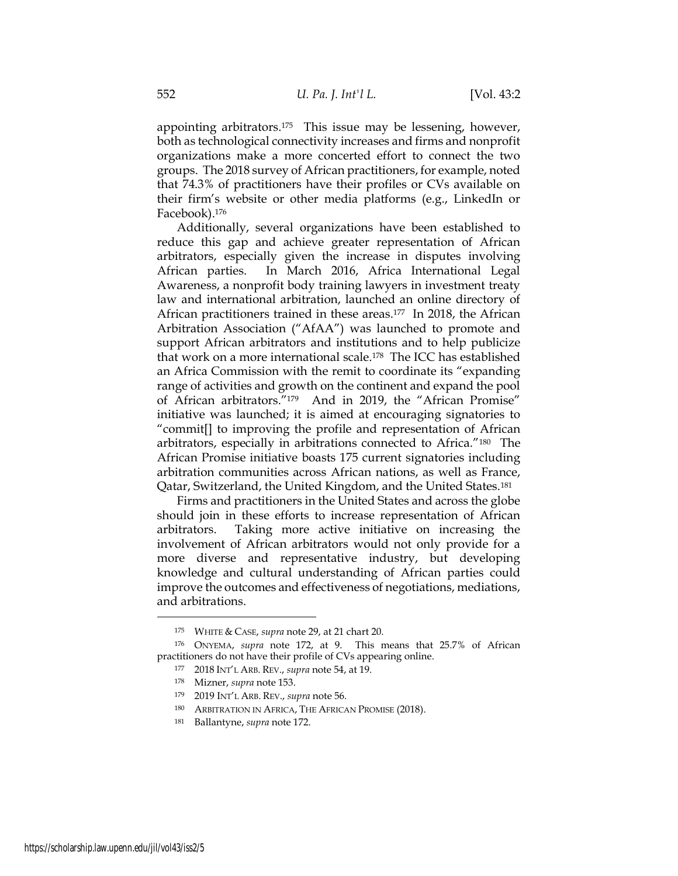appointing arbitrators.175 This issue may be lessening, however, both as technological connectivity increases and firms and nonprofit organizations make a more concerted effort to connect the two groups. The 2018 survey of African practitioners, for example, noted that 74.3% of practitioners have their profiles or CVs available on their firm's website or other media platforms (e.g., LinkedIn or Facebook).<sup>176</sup>

Additionally, several organizations have been established to reduce this gap and achieve greater representation of African arbitrators, especially given the increase in disputes involving African parties. In March 2016, Africa International Legal Awareness, a nonprofit body training lawyers in investment treaty law and international arbitration, launched an online directory of African practitioners trained in these areas.177 In 2018, the African Arbitration Association ("AfAA") was launched to promote and support African arbitrators and institutions and to help publicize that work on a more international scale.178 The ICC has established an Africa Commission with the remit to coordinate its "expanding range of activities and growth on the continent and expand the pool of African arbitrators."179 And in 2019, the "African Promise" initiative was launched; it is aimed at encouraging signatories to "commit[] to improving the profile and representation of African arbitrators, especially in arbitrations connected to Africa."180 The African Promise initiative boasts 175 current signatories including arbitration communities across African nations, as well as France, Qatar, Switzerland, the United Kingdom, and the United States.<sup>181</sup>

Firms and practitioners in the United States and across the globe should join in these efforts to increase representation of African arbitrators. Taking more active initiative on increasing the involvement of African arbitrators would not only provide for a more diverse and representative industry, but developing knowledge and cultural understanding of African parties could improve the outcomes and effectiveness of negotiations, mediations, and arbitrations.

<sup>175</sup> WHITE & CASE, supra note 29, at 21 chart 20.

<sup>176</sup> ONYEMA, supra note 172, at 9. This means that 25.7% of African practitioners do not have their profile of CVs appearing online.

<sup>177</sup> 2018 INT'L ARB. REV., supra note 54, at 19.

<sup>178</sup> Mizner, supra note 153.

<sup>179</sup> 2019 INT'L ARB. REV., supra note 56.

<sup>180</sup> ARBITRATION IN AFRICA, THE AFRICAN PROMISE (2018).

<sup>181</sup> Ballantyne, supra note 172.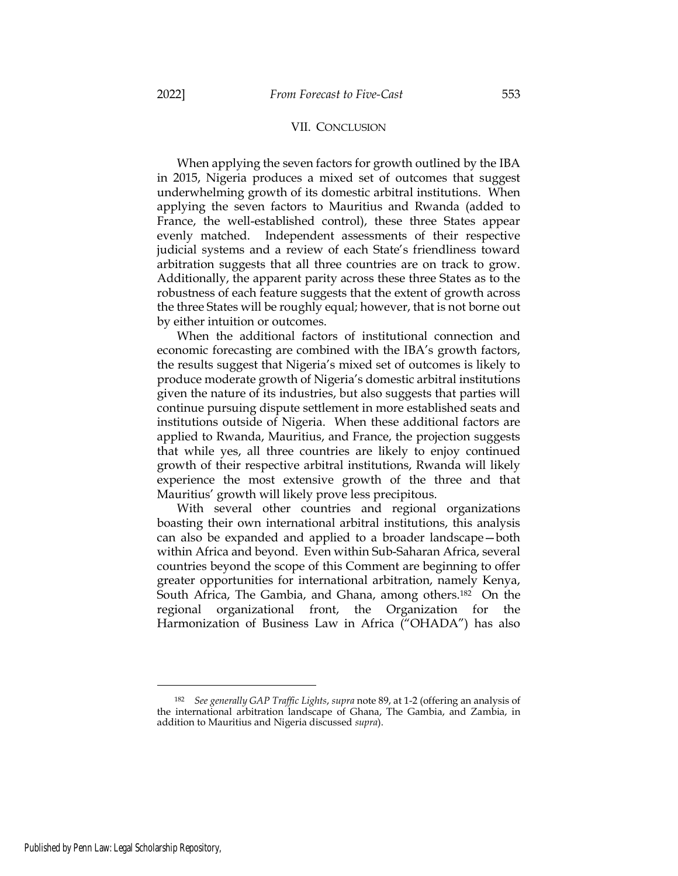### VII. CONCLUSION

When applying the seven factors for growth outlined by the IBA in 2015, Nigeria produces a mixed set of outcomes that suggest underwhelming growth of its domestic arbitral institutions. When applying the seven factors to Mauritius and Rwanda (added to France, the well-established control), these three States appear evenly matched. Independent assessments of their respective judicial systems and a review of each State's friendliness toward arbitration suggests that all three countries are on track to grow. Additionally, the apparent parity across these three States as to the robustness of each feature suggests that the extent of growth across the three States will be roughly equal; however, that is not borne out by either intuition or outcomes.

When the additional factors of institutional connection and economic forecasting are combined with the IBA's growth factors, the results suggest that Nigeria's mixed set of outcomes is likely to produce moderate growth of Nigeria's domestic arbitral institutions given the nature of its industries, but also suggests that parties will continue pursuing dispute settlement in more established seats and institutions outside of Nigeria. When these additional factors are applied to Rwanda, Mauritius, and France, the projection suggests that while yes, all three countries are likely to enjoy continued growth of their respective arbitral institutions, Rwanda will likely experience the most extensive growth of the three and that Mauritius' growth will likely prove less precipitous.

With several other countries and regional organizations boasting their own international arbitral institutions, this analysis can also be expanded and applied to a broader landscape—both within Africa and beyond. Even within Sub-Saharan Africa, several countries beyond the scope of this Comment are beginning to offer greater opportunities for international arbitration, namely Kenya, South Africa, The Gambia, and Ghana, among others.182 On the regional organizational front, the Organization for the Harmonization of Business Law in Africa ("OHADA") has also

<sup>182</sup> See generally GAP Traffic Lights, supra note 89, at 1-2 (offering an analysis of the international arbitration landscape of Ghana, The Gambia, and Zambia, in addition to Mauritius and Nigeria discussed supra).